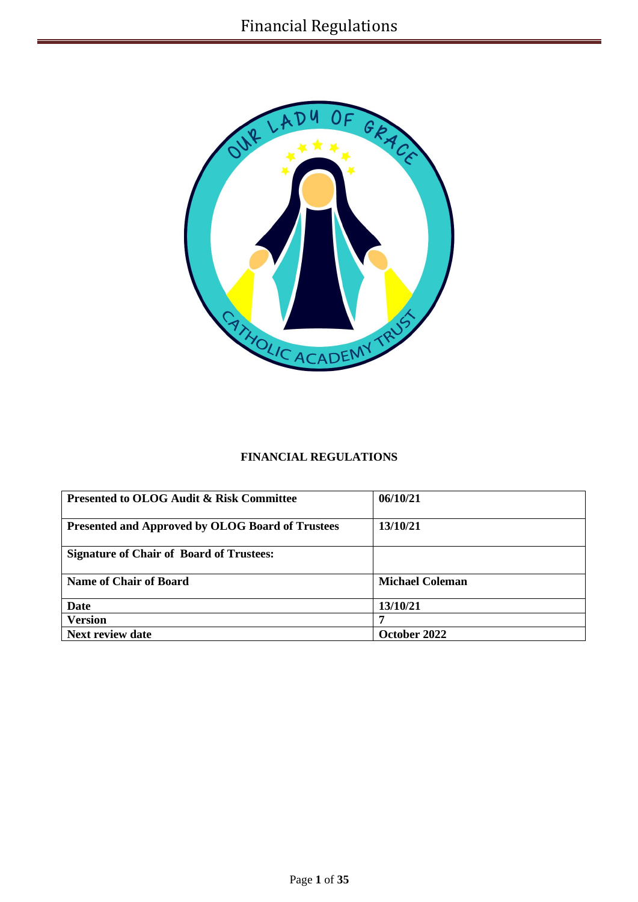

## **FINANCIAL REGULATIONS**

| <b>Presented to OLOG Audit &amp; Risk Committee</b>     | 06/10/21               |
|---------------------------------------------------------|------------------------|
| <b>Presented and Approved by OLOG Board of Trustees</b> | 13/10/21               |
| <b>Signature of Chair of Board of Trustees:</b>         |                        |
| <b>Name of Chair of Board</b>                           | <b>Michael Coleman</b> |
| Date                                                    | 13/10/21               |
| <b>Version</b>                                          | 7                      |
| Next review date                                        | October 2022           |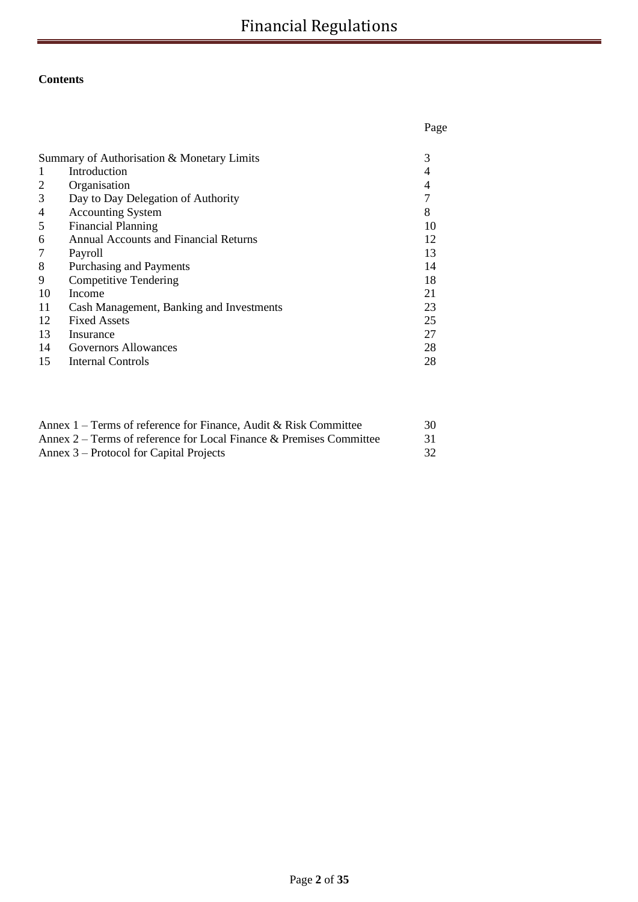# **Contents**

| Page |
|------|
| 3    |
| 4    |
| 4    |
| 7    |
| 8    |
| 10   |
| 12   |
| 13   |
| 14   |
| 18   |
| 21   |
| 23   |
| 25   |
| 27   |
| 28   |
| 28   |
|      |

| Annex $1$ – Terms of reference for Finance, Audit & Risk Committee  | 30  |
|---------------------------------------------------------------------|-----|
| Annex 2 – Terms of reference for Local Finance & Premises Committee | -31 |
| Annex 3 – Protocol for Capital Projects                             |     |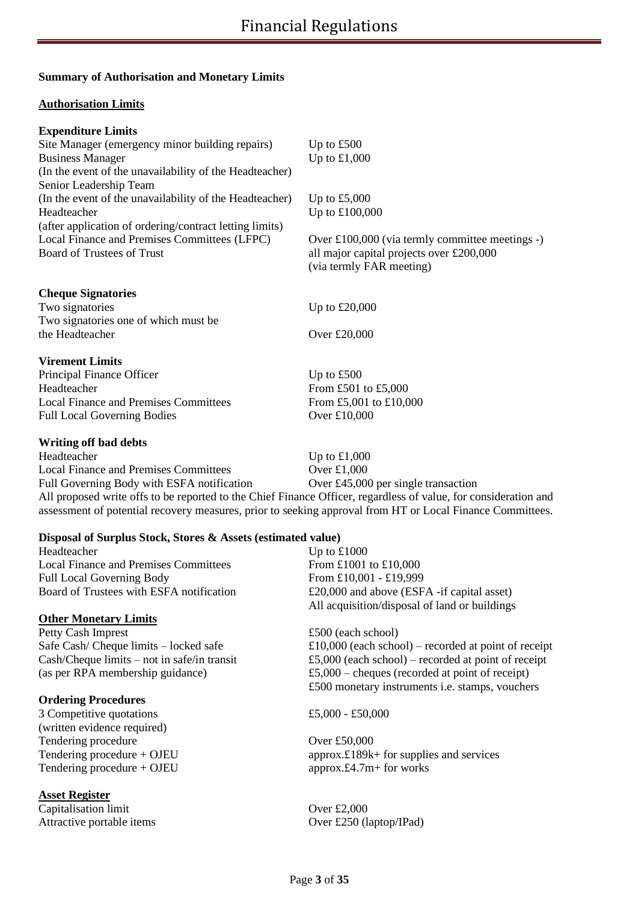## **Summary of Authorisation and Monetary Limits**

#### **Authorisation Limits**

#### **Expenditure Limits**

| Site Manager (emergency minor building repairs)         | Up to $£500$                                    |
|---------------------------------------------------------|-------------------------------------------------|
| <b>Business Manager</b>                                 | Up to $£1,000$                                  |
| (In the event of the unavailability of the Headteacher) |                                                 |
| Senior Leadership Team                                  |                                                 |
| (In the event of the unavailability of the Headteacher) | Up to $£5,000$                                  |
| Headteacher                                             | Up to £100,000                                  |
| (after application of ordering/contract letting limits) |                                                 |
| Local Finance and Premises Committees (LFPC)            | Over £100,000 (via termly committee meetings -) |
| Board of Trustees of Trust                              | all major capital projects over £200,000        |
|                                                         | (via termly FAR meeting)                        |
| <b>Cheque Signatories</b>                               |                                                 |
| Two signatories                                         | Up to $£20,000$                                 |
| Two signatories one of which must be                    |                                                 |
| the Headteacher                                         | Over £20,000                                    |
| <b>Virement Limits</b>                                  |                                                 |
| Principal Finance Officer                               | Up to $£500$                                    |
| Headteacher                                             | From £501 to £5,000                             |
| <b>Local Finance and Premises Committees</b>            | From £5,001 to £10,000                          |
| <b>Full Local Governing Bodies</b>                      | Over £10,000                                    |
| <b>Writing off bad debts</b>                            |                                                 |

Headteacher Up to £1,000 Local Finance and Premises Committees Over £1,000 Full Governing Body with ESFA notification Over £45,000 per single transaction All proposed write offs to be reported to the Chief Finance Officer, regardless of value, for consideration and assessment of potential recovery measures, prior to seeking approval from HT or Local Finance Committees.

#### **Disposal of Surplus Stock, Stores & Assets (estimated value)**

Headteacher Up to £1000 Local Finance and Premises Committees From £1001 to £10,000 Full Local Governing Body From £10,001 - £19,999

#### **Other Monetary Limits**

Petty Cash Imprest<br>
Safe Cash/Cheque limits – locked safe<br>  $\text{£}10,000$  (each school)<br>  $\text{£}10,000$  (each school)

#### **Ordering Procedures**

3 Competitive quotations  $£5,000 - £50,000$ (written evidence required) Tendering procedure Over £50,000 Tendering procedure + OJEU approx. $£4.7m+$  for works

#### **Asset Register**

Capitalisation limit Over £2,000 Attractive portable items Over £250 (laptop/IPad)

Board of Trustees with ESFA notification  $£20,000$  and above (ESFA -if capital asset) All acquisition/disposal of land or buildings

£10,000 (each school) – recorded at point of receipt Cash/Cheque limits – not in safe/in transit £5,000 (each school) – recorded at point of receipt (as per RPA membership guidance) £5,000 – cheques (recorded at point of receipt) £500 monetary instruments i.e. stamps, vouchers

Tendering procedure + OJEU approx.£189k+ for supplies and services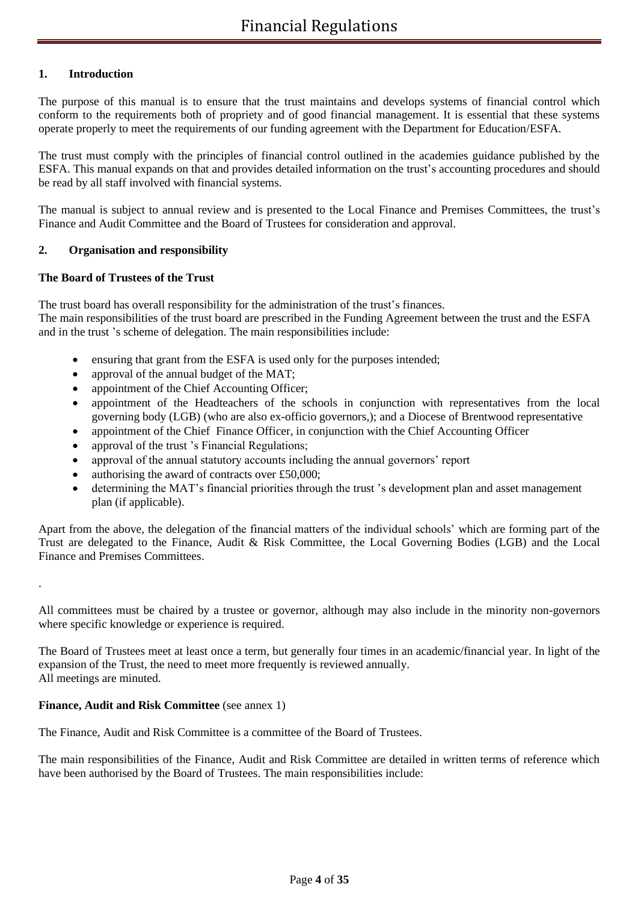## **1. Introduction**

The purpose of this manual is to ensure that the trust maintains and develops systems of financial control which conform to the requirements both of propriety and of good financial management. It is essential that these systems operate properly to meet the requirements of our funding agreement with the Department for Education/ESFA.

The trust must comply with the principles of financial control outlined in the academies guidance published by the ESFA. This manual expands on that and provides detailed information on the trust's accounting procedures and should be read by all staff involved with financial systems.

The manual is subject to annual review and is presented to the Local Finance and Premises Committees, the trust's Finance and Audit Committee and the Board of Trustees for consideration and approval.

## **2. Organisation and responsibility**

#### **The Board of Trustees of the Trust**

The trust board has overall responsibility for the administration of the trust's finances. The main responsibilities of the trust board are prescribed in the Funding Agreement between the trust and the ESFA and in the trust 's scheme of delegation. The main responsibilities include:

- ensuring that grant from the ESFA is used only for the purposes intended;
- approval of the annual budget of the MAT;
- appointment of the Chief Accounting Officer;
- appointment of the Headteachers of the schools in conjunction with representatives from the local governing body (LGB) (who are also ex-officio governors,); and a Diocese of Brentwood representative
- appointment of the Chief Finance Officer, in conjunction with the Chief Accounting Officer
- approval of the trust 's Financial Regulations;
- approval of the annual statutory accounts including the annual governors' report
- authorising the award of contracts over  $£50,000;$
- determining the MAT's financial priorities through the trust 's development plan and asset management plan (if applicable).

Apart from the above, the delegation of the financial matters of the individual schools' which are forming part of the Trust are delegated to the Finance, Audit & Risk Committee, the Local Governing Bodies (LGB) and the Local Finance and Premises Committees.

All committees must be chaired by a trustee or governor, although may also include in the minority non-governors where specific knowledge or experience is required.

The Board of Trustees meet at least once a term, but generally four times in an academic/financial year. In light of the expansion of the Trust, the need to meet more frequently is reviewed annually. All meetings are minuted.

#### **Finance, Audit and Risk Committee** (see annex 1)

.

The Finance, Audit and Risk Committee is a committee of the Board of Trustees.

The main responsibilities of the Finance, Audit and Risk Committee are detailed in written terms of reference which have been authorised by the Board of Trustees. The main responsibilities include: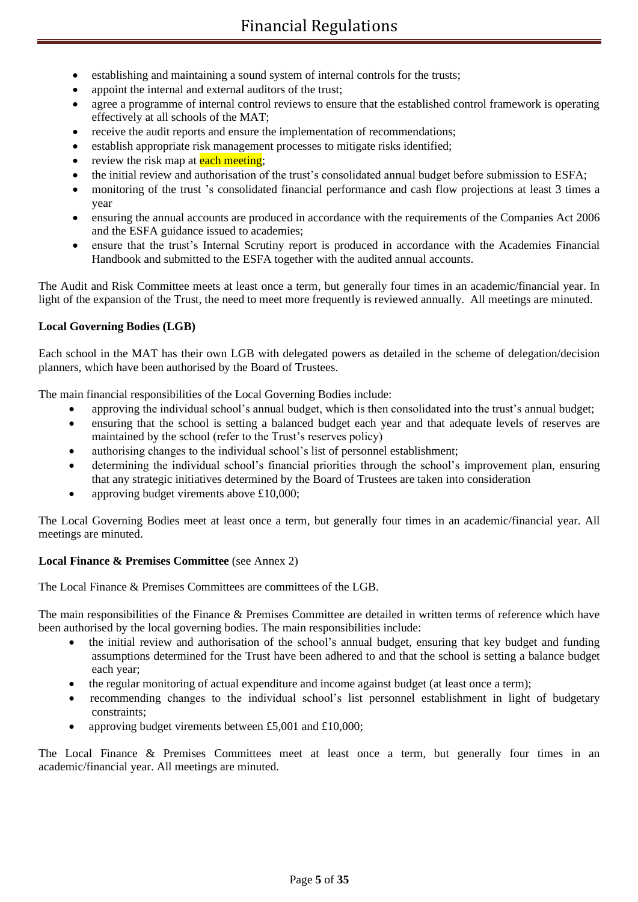- establishing and maintaining a sound system of internal controls for the trusts;
- appoint the internal and external auditors of the trust:
- agree a programme of internal control reviews to ensure that the established control framework is operating effectively at all schools of the MAT;
- receive the audit reports and ensure the implementation of recommendations;
- establish appropriate risk management processes to mitigate risks identified;
- review the risk map at each meeting;
- the initial review and authorisation of the trust's consolidated annual budget before submission to ESFA;
- monitoring of the trust 's consolidated financial performance and cash flow projections at least 3 times a year
- ensuring the annual accounts are produced in accordance with the requirements of the Companies Act 2006 and the ESFA guidance issued to academies;
- ensure that the trust's Internal Scrutiny report is produced in accordance with the Academies Financial Handbook and submitted to the ESFA together with the audited annual accounts.

The Audit and Risk Committee meets at least once a term, but generally four times in an academic/financial year. In light of the expansion of the Trust, the need to meet more frequently is reviewed annually. All meetings are minuted.

## **Local Governing Bodies (LGB)**

Each school in the MAT has their own LGB with delegated powers as detailed in the scheme of delegation/decision planners, which have been authorised by the Board of Trustees.

The main financial responsibilities of the Local Governing Bodies include:

- approving the individual school's annual budget, which is then consolidated into the trust's annual budget;
- ensuring that the school is setting a balanced budget each year and that adequate levels of reserves are maintained by the school (refer to the Trust's reserves policy)
- authorising changes to the individual school's list of personnel establishment;
- determining the individual school's financial priorities through the school's improvement plan, ensuring that any strategic initiatives determined by the Board of Trustees are taken into consideration
- approving budget virements above £10,000;

The Local Governing Bodies meet at least once a term, but generally four times in an academic/financial year. All meetings are minuted.

#### **Local Finance & Premises Committee** (see Annex 2)

The Local Finance & Premises Committees are committees of the LGB.

The main responsibilities of the Finance & Premises Committee are detailed in written terms of reference which have been authorised by the local governing bodies. The main responsibilities include:

- the initial review and authorisation of the school's annual budget, ensuring that key budget and funding assumptions determined for the Trust have been adhered to and that the school is setting a balance budget each year;
- the regular monitoring of actual expenditure and income against budget (at least once a term);
- recommending changes to the individual school's list personnel establishment in light of budgetary constraints;
- approving budget virements between £5,001 and £10,000;

The Local Finance & Premises Committees meet at least once a term, but generally four times in an academic/financial year. All meetings are minuted.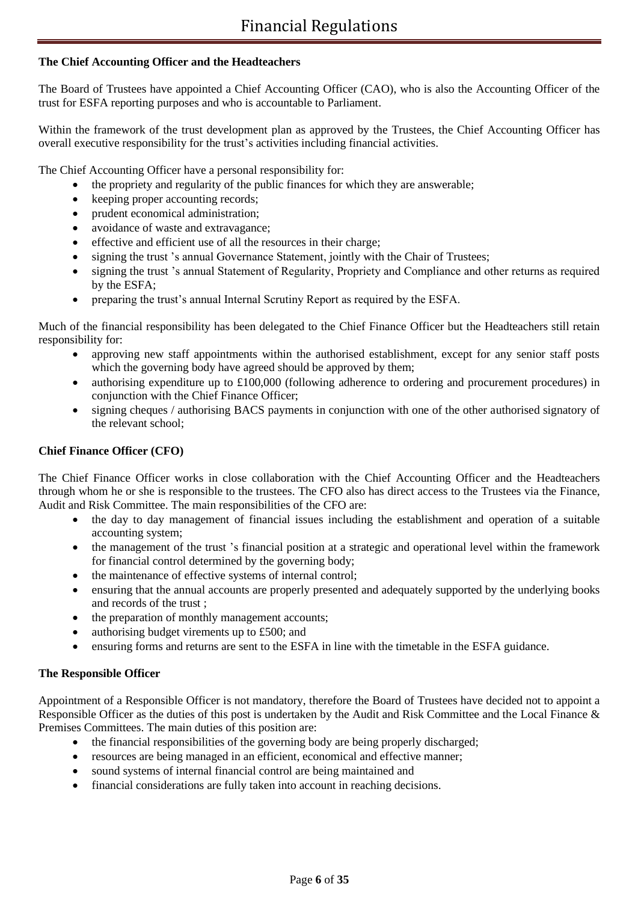## **The Chief Accounting Officer and the Headteachers**

The Board of Trustees have appointed a Chief Accounting Officer (CAO), who is also the Accounting Officer of the trust for ESFA reporting purposes and who is accountable to Parliament.

Within the framework of the trust development plan as approved by the Trustees, the Chief Accounting Officer has overall executive responsibility for the trust's activities including financial activities.

The Chief Accounting Officer have a personal responsibility for:

- the propriety and regularity of the public finances for which they are answerable;
- keeping proper accounting records;
- prudent economical administration;
- avoidance of waste and extravagance;
- effective and efficient use of all the resources in their charge;
- signing the trust 's annual Governance Statement, jointly with the Chair of Trustees;
- signing the trust 's annual Statement of Regularity, Propriety and Compliance and other returns as required by the ESFA;
- preparing the trust's annual Internal Scrutiny Report as required by the ESFA.

Much of the financial responsibility has been delegated to the Chief Finance Officer but the Headteachers still retain responsibility for:

- approving new staff appointments within the authorised establishment, except for any senior staff posts which the governing body have agreed should be approved by them;
- authorising expenditure up to £100,000 (following adherence to ordering and procurement procedures) in conjunction with the Chief Finance Officer;
- signing cheques / authorising BACS payments in conjunction with one of the other authorised signatory of the relevant school;

## **Chief Finance Officer (CFO)**

The Chief Finance Officer works in close collaboration with the Chief Accounting Officer and the Headteachers through whom he or she is responsible to the trustees. The CFO also has direct access to the Trustees via the Finance, Audit and Risk Committee. The main responsibilities of the CFO are:

- the day to day management of financial issues including the establishment and operation of a suitable accounting system;
- the management of the trust 's financial position at a strategic and operational level within the framework for financial control determined by the governing body;
- the maintenance of effective systems of internal control;
- ensuring that the annual accounts are properly presented and adequately supported by the underlying books and records of the trust ;
- the preparation of monthly management accounts;
- authorising budget virements up to £500; and
- ensuring forms and returns are sent to the ESFA in line with the timetable in the ESFA guidance.

## **The Responsible Officer**

Appointment of a Responsible Officer is not mandatory, therefore the Board of Trustees have decided not to appoint a Responsible Officer as the duties of this post is undertaken by the Audit and Risk Committee and the Local Finance & Premises Committees. The main duties of this position are:

- the financial responsibilities of the governing body are being properly discharged;
- resources are being managed in an efficient, economical and effective manner;
- sound systems of internal financial control are being maintained and
- financial considerations are fully taken into account in reaching decisions.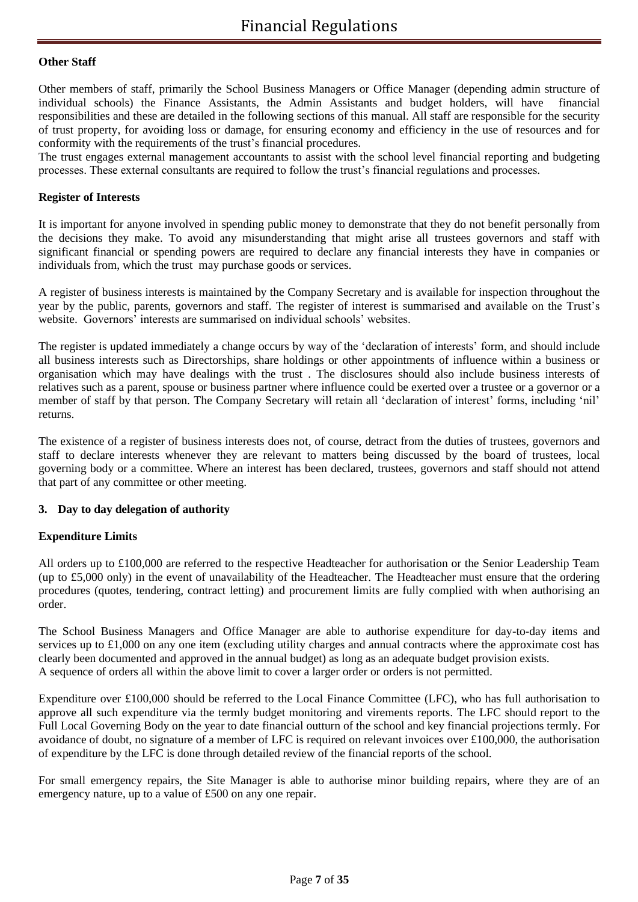#### **Other Staff**

Other members of staff, primarily the School Business Managers or Office Manager (depending admin structure of individual schools) the Finance Assistants, the Admin Assistants and budget holders, will have financial responsibilities and these are detailed in the following sections of this manual. All staff are responsible for the security of trust property, for avoiding loss or damage, for ensuring economy and efficiency in the use of resources and for conformity with the requirements of the trust's financial procedures.

The trust engages external management accountants to assist with the school level financial reporting and budgeting processes. These external consultants are required to follow the trust's financial regulations and processes.

#### **Register of Interests**

It is important for anyone involved in spending public money to demonstrate that they do not benefit personally from the decisions they make. To avoid any misunderstanding that might arise all trustees governors and staff with significant financial or spending powers are required to declare any financial interests they have in companies or individuals from, which the trust may purchase goods or services.

A register of business interests is maintained by the Company Secretary and is available for inspection throughout the year by the public, parents, governors and staff. The register of interest is summarised and available on the Trust's website. Governors' interests are summarised on individual schools' websites.

The register is updated immediately a change occurs by way of the 'declaration of interests' form, and should include all business interests such as Directorships, share holdings or other appointments of influence within a business or organisation which may have dealings with the trust . The disclosures should also include business interests of relatives such as a parent, spouse or business partner where influence could be exerted over a trustee or a governor or a member of staff by that person. The Company Secretary will retain all 'declaration of interest' forms, including 'nil' returns.

The existence of a register of business interests does not, of course, detract from the duties of trustees, governors and staff to declare interests whenever they are relevant to matters being discussed by the board of trustees, local governing body or a committee. Where an interest has been declared, trustees, governors and staff should not attend that part of any committee or other meeting.

## **3. Day to day delegation of authority**

## **Expenditure Limits**

All orders up to £100,000 are referred to the respective Headteacher for authorisation or the Senior Leadership Team (up to £5,000 only) in the event of unavailability of the Headteacher. The Headteacher must ensure that the ordering procedures (quotes, tendering, contract letting) and procurement limits are fully complied with when authorising an order.

The School Business Managers and Office Manager are able to authorise expenditure for day-to-day items and services up to £1,000 on any one item (excluding utility charges and annual contracts where the approximate cost has clearly been documented and approved in the annual budget) as long as an adequate budget provision exists. A sequence of orders all within the above limit to cover a larger order or orders is not permitted.

Expenditure over £100,000 should be referred to the Local Finance Committee (LFC), who has full authorisation to approve all such expenditure via the termly budget monitoring and virements reports. The LFC should report to the Full Local Governing Body on the year to date financial outturn of the school and key financial projections termly. For avoidance of doubt, no signature of a member of LFC is required on relevant invoices over £100,000, the authorisation of expenditure by the LFC is done through detailed review of the financial reports of the school.

For small emergency repairs, the Site Manager is able to authorise minor building repairs, where they are of an emergency nature, up to a value of £500 on any one repair.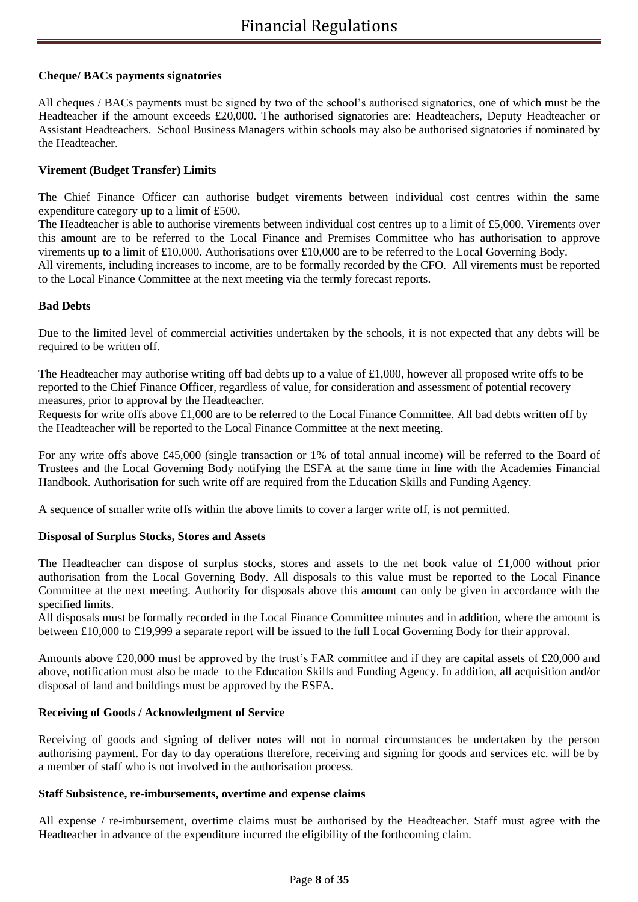## **Cheque/ BACs payments signatories**

All cheques / BACs payments must be signed by two of the school's authorised signatories, one of which must be the Headteacher if the amount exceeds £20,000. The authorised signatories are: Headteachers, Deputy Headteacher or Assistant Headteachers. School Business Managers within schools may also be authorised signatories if nominated by the Headteacher.

## **Virement (Budget Transfer) Limits**

The Chief Finance Officer can authorise budget virements between individual cost centres within the same expenditure category up to a limit of £500.

The Headteacher is able to authorise virements between individual cost centres up to a limit of £5,000. Virements over this amount are to be referred to the Local Finance and Premises Committee who has authorisation to approve virements up to a limit of £10,000. Authorisations over £10,000 are to be referred to the Local Governing Body.

All virements, including increases to income, are to be formally recorded by the CFO. All virements must be reported to the Local Finance Committee at the next meeting via the termly forecast reports.

#### **Bad Debts**

Due to the limited level of commercial activities undertaken by the schools, it is not expected that any debts will be required to be written off.

The Headteacher may authorise writing off bad debts up to a value of £1,000, however all proposed write offs to be reported to the Chief Finance Officer, regardless of value, for consideration and assessment of potential recovery measures, prior to approval by the Headteacher.

Requests for write offs above £1,000 are to be referred to the Local Finance Committee. All bad debts written off by the Headteacher will be reported to the Local Finance Committee at the next meeting.

For any write offs above £45,000 (single transaction or 1% of total annual income) will be referred to the Board of Trustees and the Local Governing Body notifying the ESFA at the same time in line with the Academies Financial Handbook. Authorisation for such write off are required from the Education Skills and Funding Agency.

A sequence of smaller write offs within the above limits to cover a larger write off, is not permitted.

#### **Disposal of Surplus Stocks, Stores and Assets**

The Headteacher can dispose of surplus stocks, stores and assets to the net book value of £1,000 without prior authorisation from the Local Governing Body. All disposals to this value must be reported to the Local Finance Committee at the next meeting. Authority for disposals above this amount can only be given in accordance with the specified limits.

All disposals must be formally recorded in the Local Finance Committee minutes and in addition, where the amount is between £10,000 to £19,999 a separate report will be issued to the full Local Governing Body for their approval.

Amounts above £20,000 must be approved by the trust's FAR committee and if they are capital assets of £20,000 and above, notification must also be made to the Education Skills and Funding Agency. In addition, all acquisition and/or disposal of land and buildings must be approved by the ESFA.

#### **Receiving of Goods / Acknowledgment of Service**

Receiving of goods and signing of deliver notes will not in normal circumstances be undertaken by the person authorising payment. For day to day operations therefore, receiving and signing for goods and services etc. will be by a member of staff who is not involved in the authorisation process.

#### **Staff Subsistence, re-imbursements, overtime and expense claims**

All expense / re-imbursement, overtime claims must be authorised by the Headteacher. Staff must agree with the Headteacher in advance of the expenditure incurred the eligibility of the forthcoming claim.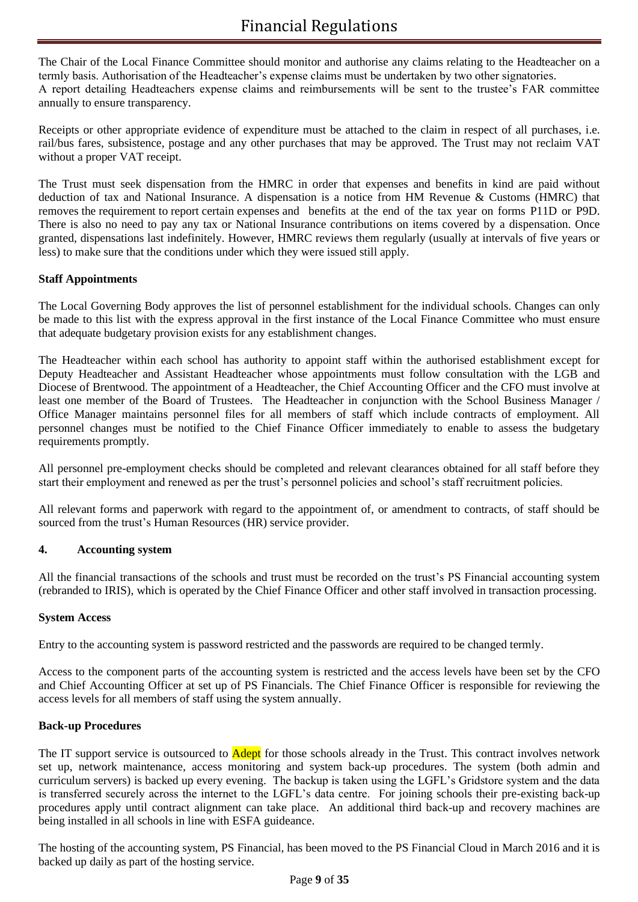The Chair of the Local Finance Committee should monitor and authorise any claims relating to the Headteacher on a termly basis. Authorisation of the Headteacher's expense claims must be undertaken by two other signatories. A report detailing Headteachers expense claims and reimbursements will be sent to the trustee's FAR committee annually to ensure transparency.

Receipts or other appropriate evidence of expenditure must be attached to the claim in respect of all purchases, i.e. rail/bus fares, subsistence, postage and any other purchases that may be approved. The Trust may not reclaim VAT without a proper VAT receipt.

The Trust must seek dispensation from the HMRC in order that expenses and benefits in kind are paid without deduction of tax and National Insurance. A dispensation is a notice from HM Revenue & Customs (HMRC) that removes the requirement to report certain expenses and benefits at the end of the tax year on forms P11D or P9D. There is also no need to pay any tax or National Insurance contributions on items covered by a dispensation. Once granted, dispensations last indefinitely. However, HMRC reviews them regularly (usually at intervals of five years or less) to make sure that the conditions under which they were issued still apply.

## **Staff Appointments**

The Local Governing Body approves the list of personnel establishment for the individual schools. Changes can only be made to this list with the express approval in the first instance of the Local Finance Committee who must ensure that adequate budgetary provision exists for any establishment changes.

The Headteacher within each school has authority to appoint staff within the authorised establishment except for Deputy Headteacher and Assistant Headteacher whose appointments must follow consultation with the LGB and Diocese of Brentwood. The appointment of a Headteacher, the Chief Accounting Officer and the CFO must involve at least one member of the Board of Trustees. The Headteacher in conjunction with the School Business Manager / Office Manager maintains personnel files for all members of staff which include contracts of employment. All personnel changes must be notified to the Chief Finance Officer immediately to enable to assess the budgetary requirements promptly.

All personnel pre-employment checks should be completed and relevant clearances obtained for all staff before they start their employment and renewed as per the trust's personnel policies and school's staff recruitment policies.

All relevant forms and paperwork with regard to the appointment of, or amendment to contracts, of staff should be sourced from the trust's Human Resources (HR) service provider.

#### **4. Accounting system**

All the financial transactions of the schools and trust must be recorded on the trust's PS Financial accounting system (rebranded to IRIS), which is operated by the Chief Finance Officer and other staff involved in transaction processing.

#### **System Access**

Entry to the accounting system is password restricted and the passwords are required to be changed termly.

Access to the component parts of the accounting system is restricted and the access levels have been set by the CFO and Chief Accounting Officer at set up of PS Financials. The Chief Finance Officer is responsible for reviewing the access levels for all members of staff using the system annually.

#### **Back-up Procedures**

The IT support service is outsourced to **Adept** for those schools already in the Trust. This contract involves network set up, network maintenance, access monitoring and system back-up procedures. The system (both admin and curriculum servers) is backed up every evening. The backup is taken using the LGFL's Gridstore system and the data is transferred securely across the internet to the LGFL's data centre. For joining schools their pre-existing back-up procedures apply until contract alignment can take place. An additional third back-up and recovery machines are being installed in all schools in line with ESFA guideance.

The hosting of the accounting system, PS Financial, has been moved to the PS Financial Cloud in March 2016 and it is backed up daily as part of the hosting service.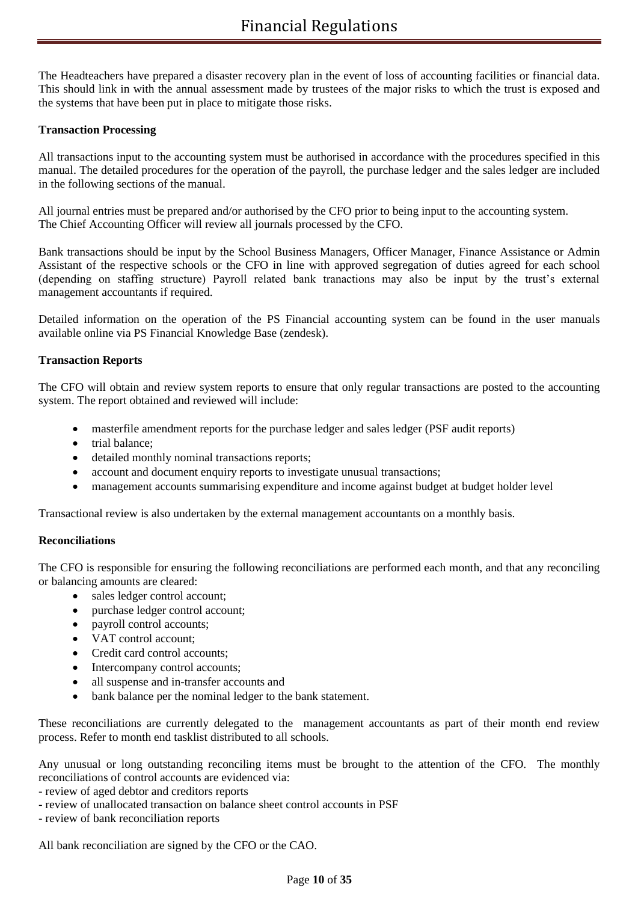The Headteachers have prepared a disaster recovery plan in the event of loss of accounting facilities or financial data. This should link in with the annual assessment made by trustees of the major risks to which the trust is exposed and the systems that have been put in place to mitigate those risks.

## **Transaction Processing**

All transactions input to the accounting system must be authorised in accordance with the procedures specified in this manual. The detailed procedures for the operation of the payroll, the purchase ledger and the sales ledger are included in the following sections of the manual.

All journal entries must be prepared and/or authorised by the CFO prior to being input to the accounting system. The Chief Accounting Officer will review all journals processed by the CFO.

Bank transactions should be input by the School Business Managers, Officer Manager, Finance Assistance or Admin Assistant of the respective schools or the CFO in line with approved segregation of duties agreed for each school (depending on staffing structure) Payroll related bank tranactions may also be input by the trust's external management accountants if required.

Detailed information on the operation of the PS Financial accounting system can be found in the user manuals available online via PS Financial Knowledge Base (zendesk).

## **Transaction Reports**

The CFO will obtain and review system reports to ensure that only regular transactions are posted to the accounting system. The report obtained and reviewed will include:

- masterfile amendment reports for the purchase ledger and sales ledger (PSF audit reports)
- trial balance;
- detailed monthly nominal transactions reports;
- account and document enquiry reports to investigate unusual transactions;
- management accounts summarising expenditure and income against budget at budget holder level

Transactional review is also undertaken by the external management accountants on a monthly basis.

#### **Reconciliations**

The CFO is responsible for ensuring the following reconciliations are performed each month, and that any reconciling or balancing amounts are cleared:

- sales ledger control account;
- purchase ledger control account;
- payroll control accounts;
- VAT control account;
- Credit card control accounts;
- Intercompany control accounts;
- all suspense and in-transfer accounts and
- bank balance per the nominal ledger to the bank statement.

These reconciliations are currently delegated to the management accountants as part of their month end review process. Refer to month end tasklist distributed to all schools.

Any unusual or long outstanding reconciling items must be brought to the attention of the CFO. The monthly reconciliations of control accounts are evidenced via:

- review of aged debtor and creditors reports

- review of unallocated transaction on balance sheet control accounts in PSF
- review of bank reconciliation reports

All bank reconciliation are signed by the CFO or the CAO.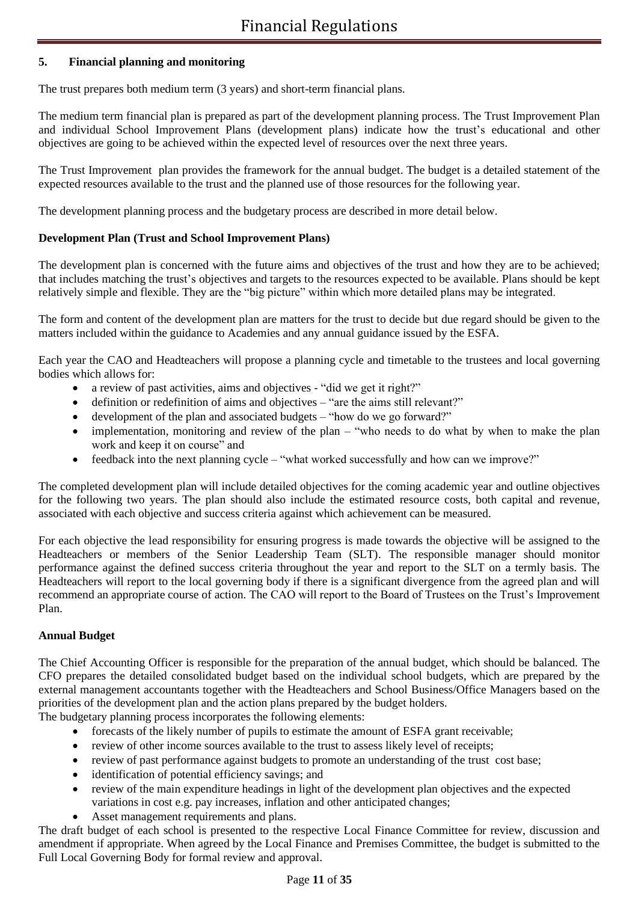## **5. Financial planning and monitoring**

The trust prepares both medium term (3 years) and short-term financial plans.

The medium term financial plan is prepared as part of the development planning process. The Trust Improvement Plan and individual School Improvement Plans (development plans) indicate how the trust's educational and other objectives are going to be achieved within the expected level of resources over the next three years.

The Trust Improvement plan provides the framework for the annual budget. The budget is a detailed statement of the expected resources available to the trust and the planned use of those resources for the following year.

The development planning process and the budgetary process are described in more detail below.

## **Development Plan (Trust and School Improvement Plans)**

The development plan is concerned with the future aims and objectives of the trust and how they are to be achieved; that includes matching the trust's objectives and targets to the resources expected to be available. Plans should be kept relatively simple and flexible. They are the "big picture" within which more detailed plans may be integrated.

The form and content of the development plan are matters for the trust to decide but due regard should be given to the matters included within the guidance to Academies and any annual guidance issued by the ESFA.

Each year the CAO and Headteachers will propose a planning cycle and timetable to the trustees and local governing bodies which allows for:

- a review of past activities, aims and objectives "did we get it right?"
- definition or redefinition of aims and objectives "are the aims still relevant?"
- development of the plan and associated budgets "how do we go forward?"
- implementation, monitoring and review of the plan "who needs to do what by when to make the plan work and keep it on course" and
- feedback into the next planning cycle "what worked successfully and how can we improve?"

The completed development plan will include detailed objectives for the coming academic year and outline objectives for the following two years. The plan should also include the estimated resource costs, both capital and revenue, associated with each objective and success criteria against which achievement can be measured.

For each objective the lead responsibility for ensuring progress is made towards the objective will be assigned to the Headteachers or members of the Senior Leadership Team (SLT). The responsible manager should monitor performance against the defined success criteria throughout the year and report to the SLT on a termly basis. The Headteachers will report to the local governing body if there is a significant divergence from the agreed plan and will recommend an appropriate course of action. The CAO will report to the Board of Trustees on the Trust's Improvement Plan.

## **Annual Budget**

The Chief Accounting Officer is responsible for the preparation of the annual budget, which should be balanced. The CFO prepares the detailed consolidated budget based on the individual school budgets, which are prepared by the external management accountants together with the Headteachers and School Business/Office Managers based on the priorities of the development plan and the action plans prepared by the budget holders.

The budgetary planning process incorporates the following elements:

- forecasts of the likely number of pupils to estimate the amount of ESFA grant receivable;
- review of other income sources available to the trust to assess likely level of receipts;
- review of past performance against budgets to promote an understanding of the trust cost base;
- identification of potential efficiency savings; and
- review of the main expenditure headings in light of the development plan objectives and the expected variations in cost e.g. pay increases, inflation and other anticipated changes;
- Asset management requirements and plans.

The draft budget of each school is presented to the respective Local Finance Committee for review, discussion and amendment if appropriate. When agreed by the Local Finance and Premises Committee, the budget is submitted to the Full Local Governing Body for formal review and approval.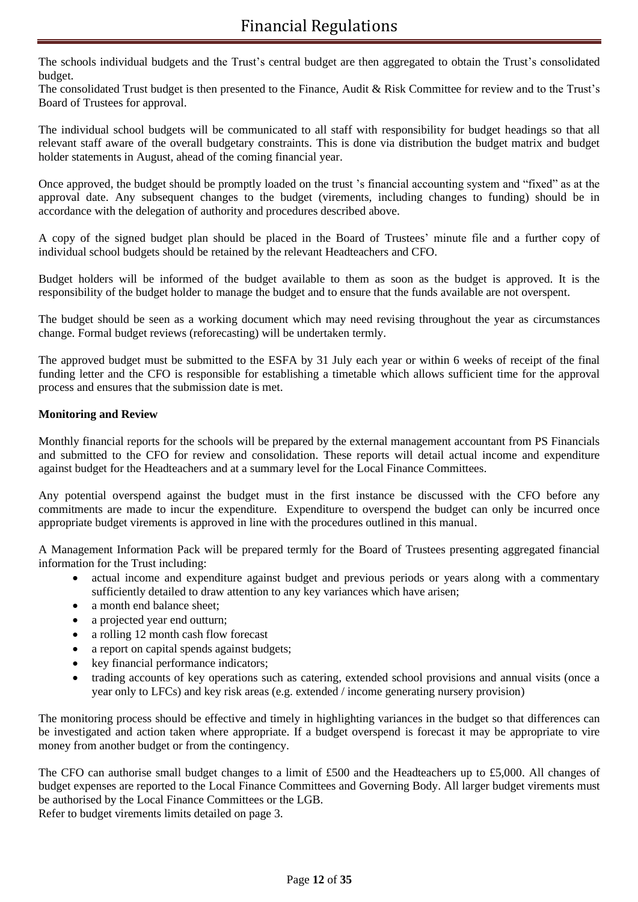The schools individual budgets and the Trust's central budget are then aggregated to obtain the Trust's consolidated budget.

The consolidated Trust budget is then presented to the Finance, Audit & Risk Committee for review and to the Trust's Board of Trustees for approval.

The individual school budgets will be communicated to all staff with responsibility for budget headings so that all relevant staff aware of the overall budgetary constraints. This is done via distribution the budget matrix and budget holder statements in August, ahead of the coming financial year.

Once approved, the budget should be promptly loaded on the trust 's financial accounting system and "fixed" as at the approval date. Any subsequent changes to the budget (virements, including changes to funding) should be in accordance with the delegation of authority and procedures described above.

A copy of the signed budget plan should be placed in the Board of Trustees' minute file and a further copy of individual school budgets should be retained by the relevant Headteachers and CFO.

Budget holders will be informed of the budget available to them as soon as the budget is approved. It is the responsibility of the budget holder to manage the budget and to ensure that the funds available are not overspent.

The budget should be seen as a working document which may need revising throughout the year as circumstances change. Formal budget reviews (reforecasting) will be undertaken termly.

The approved budget must be submitted to the ESFA by 31 July each year or within 6 weeks of receipt of the final funding letter and the CFO is responsible for establishing a timetable which allows sufficient time for the approval process and ensures that the submission date is met.

## **Monitoring and Review**

Monthly financial reports for the schools will be prepared by the external management accountant from PS Financials and submitted to the CFO for review and consolidation. These reports will detail actual income and expenditure against budget for the Headteachers and at a summary level for the Local Finance Committees.

Any potential overspend against the budget must in the first instance be discussed with the CFO before any commitments are made to incur the expenditure. Expenditure to overspend the budget can only be incurred once appropriate budget virements is approved in line with the procedures outlined in this manual.

A Management Information Pack will be prepared termly for the Board of Trustees presenting aggregated financial information for the Trust including:

- actual income and expenditure against budget and previous periods or years along with a commentary sufficiently detailed to draw attention to any key variances which have arisen;
- a month end balance sheet:
- a projected year end outturn;
- a rolling 12 month cash flow forecast
- a report on capital spends against budgets;
- key financial performance indicators;
- trading accounts of key operations such as catering, extended school provisions and annual visits (once a year only to LFCs) and key risk areas (e.g. extended / income generating nursery provision)

The monitoring process should be effective and timely in highlighting variances in the budget so that differences can be investigated and action taken where appropriate. If a budget overspend is forecast it may be appropriate to vire money from another budget or from the contingency.

The CFO can authorise small budget changes to a limit of £500 and the Headteachers up to £5,000. All changes of budget expenses are reported to the Local Finance Committees and Governing Body. All larger budget virements must be authorised by the Local Finance Committees or the LGB.

Refer to budget virements limits detailed on page 3.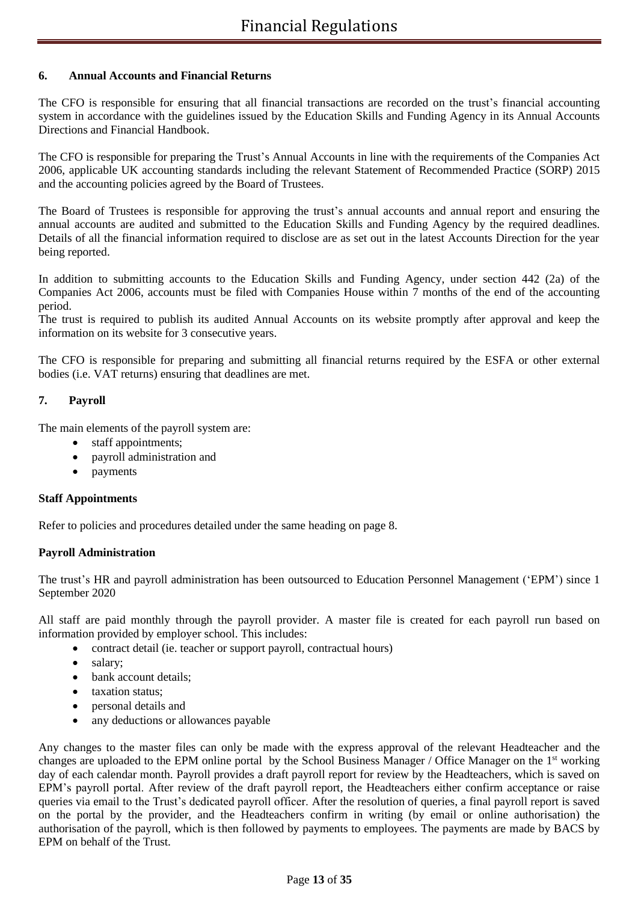## **6. Annual Accounts and Financial Returns**

The CFO is responsible for ensuring that all financial transactions are recorded on the trust's financial accounting system in accordance with the guidelines issued by the Education Skills and Funding Agency in its Annual Accounts Directions and Financial Handbook.

The CFO is responsible for preparing the Trust's Annual Accounts in line with the requirements of the Companies Act 2006, applicable UK accounting standards including the relevant Statement of Recommended Practice (SORP) 2015 and the accounting policies agreed by the Board of Trustees.

The Board of Trustees is responsible for approving the trust's annual accounts and annual report and ensuring the annual accounts are audited and submitted to the Education Skills and Funding Agency by the required deadlines. Details of all the financial information required to disclose are as set out in the latest Accounts Direction for the year being reported.

In addition to submitting accounts to the Education Skills and Funding Agency, under section 442 (2a) of the Companies Act 2006, accounts must be filed with Companies House within 7 months of the end of the accounting period.

The trust is required to publish its audited Annual Accounts on its website promptly after approval and keep the information on its website for 3 consecutive years.

The CFO is responsible for preparing and submitting all financial returns required by the ESFA or other external bodies (i.e. VAT returns) ensuring that deadlines are met.

## **7. Payroll**

The main elements of the payroll system are:

- staff appointments;
- payroll administration and
- payments

#### **Staff Appointments**

Refer to policies and procedures detailed under the same heading on page 8.

#### **Payroll Administration**

The trust's HR and payroll administration has been outsourced to Education Personnel Management ('EPM') since 1 September 2020

All staff are paid monthly through the payroll provider. A master file is created for each payroll run based on information provided by employer school. This includes:

- contract detail (ie. teacher or support payroll, contractual hours)
- salary;
- bank account details:
- taxation status:
- personal details and
- any deductions or allowances payable

Any changes to the master files can only be made with the express approval of the relevant Headteacher and the changes are uploaded to the EPM online portal by the School Business Manager / Office Manager on the  $1<sup>st</sup>$  working day of each calendar month. Payroll provides a draft payroll report for review by the Headteachers, which is saved on EPM's payroll portal. After review of the draft payroll report, the Headteachers either confirm acceptance or raise queries via email to the Trust's dedicated payroll officer. After the resolution of queries, a final payroll report is saved on the portal by the provider, and the Headteachers confirm in writing (by email or online authorisation) the authorisation of the payroll, which is then followed by payments to employees. The payments are made by BACS by EPM on behalf of the Trust.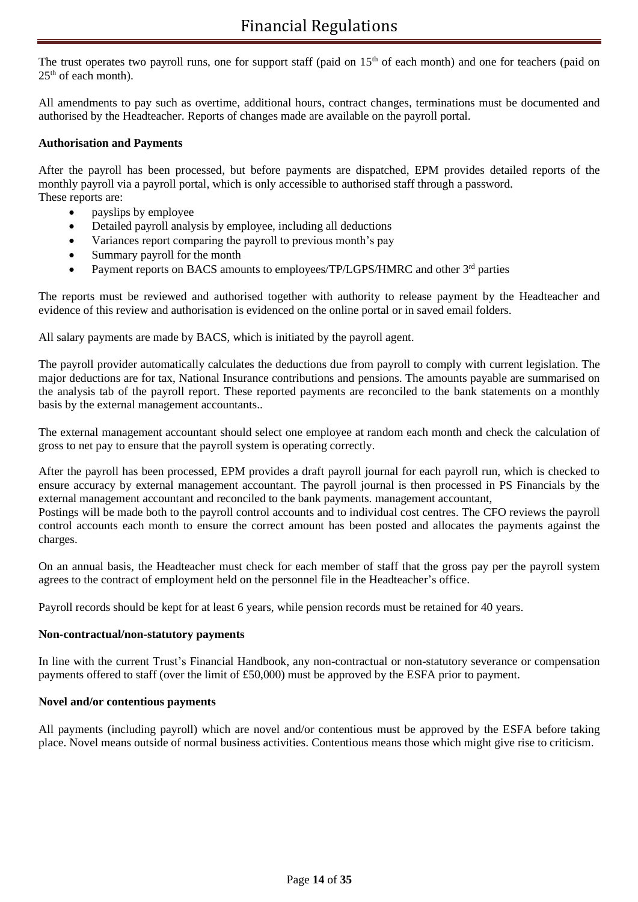The trust operates two payroll runs, one for support staff (paid on  $15<sup>th</sup>$  of each month) and one for teachers (paid on  $25<sup>th</sup>$  of each month).

All amendments to pay such as overtime, additional hours, contract changes, terminations must be documented and authorised by the Headteacher. Reports of changes made are available on the payroll portal.

## **Authorisation and Payments**

After the payroll has been processed, but before payments are dispatched, EPM provides detailed reports of the monthly payroll via a payroll portal, which is only accessible to authorised staff through a password. These reports are:

- payslips by employee
- Detailed payroll analysis by employee, including all deductions
- Variances report comparing the payroll to previous month's pay
- Summary payroll for the month
- Payment reports on BACS amounts to employees/TP/LGPS/HMRC and other 3<sup>rd</sup> parties

The reports must be reviewed and authorised together with authority to release payment by the Headteacher and evidence of this review and authorisation is evidenced on the online portal or in saved email folders.

All salary payments are made by BACS, which is initiated by the payroll agent.

The payroll provider automatically calculates the deductions due from payroll to comply with current legislation. The major deductions are for tax, National Insurance contributions and pensions. The amounts payable are summarised on the analysis tab of the payroll report. These reported payments are reconciled to the bank statements on a monthly basis by the external management accountants..

The external management accountant should select one employee at random each month and check the calculation of gross to net pay to ensure that the payroll system is operating correctly.

After the payroll has been processed, EPM provides a draft payroll journal for each payroll run, which is checked to ensure accuracy by external management accountant. The payroll journal is then processed in PS Financials by the external management accountant and reconciled to the bank payments. management accountant, Postings will be made both to the payroll control accounts and to individual cost centres. The CFO reviews the payroll control accounts each month to ensure the correct amount has been posted and allocates the payments against the charges.

On an annual basis, the Headteacher must check for each member of staff that the gross pay per the payroll system agrees to the contract of employment held on the personnel file in the Headteacher's office.

Payroll records should be kept for at least 6 years, while pension records must be retained for 40 years.

#### **Non-contractual/non-statutory payments**

In line with the current Trust's Financial Handbook, any non-contractual or non-statutory severance or compensation payments offered to staff (over the limit of £50,000) must be approved by the ESFA prior to payment.

#### **Novel and/or contentious payments**

All payments (including payroll) which are novel and/or contentious must be approved by the ESFA before taking place. Novel means outside of normal business activities. Contentious means those which might give rise to criticism.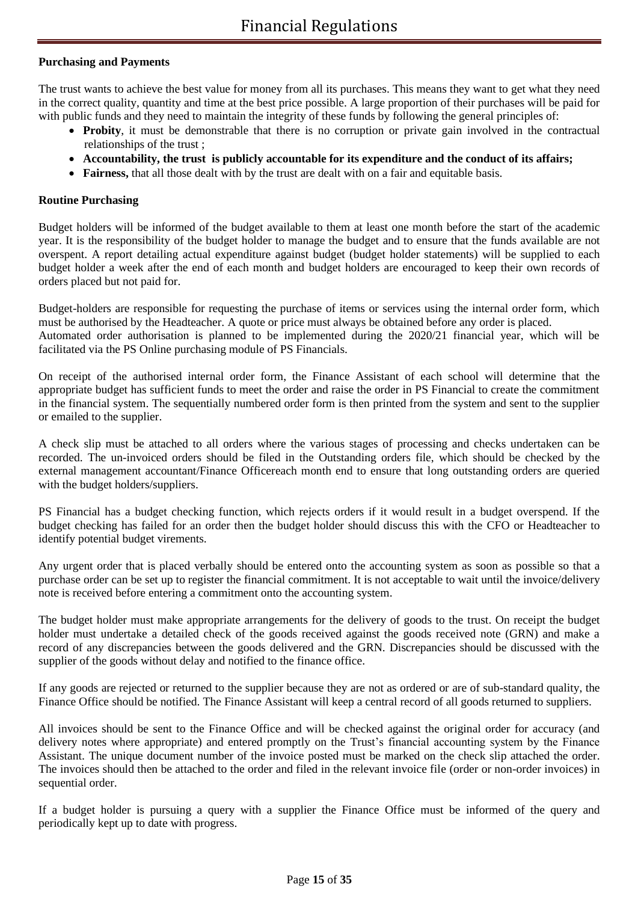## **Purchasing and Payments**

The trust wants to achieve the best value for money from all its purchases. This means they want to get what they need in the correct quality, quantity and time at the best price possible. A large proportion of their purchases will be paid for with public funds and they need to maintain the integrity of these funds by following the general principles of:

- **Probity**, it must be demonstrable that there is no corruption or private gain involved in the contractual relationships of the trust ;
- • **Accountability, the trust is publicly accountable for its expenditure and the conduct of its affairs;**
- **Fairness,** that all those dealt with by the trust are dealt with on a fair and equitable basis.

#### **Routine Purchasing**

Budget holders will be informed of the budget available to them at least one month before the start of the academic year. It is the responsibility of the budget holder to manage the budget and to ensure that the funds available are not overspent. A report detailing actual expenditure against budget (budget holder statements) will be supplied to each budget holder a week after the end of each month and budget holders are encouraged to keep their own records of orders placed but not paid for.

Budget-holders are responsible for requesting the purchase of items or services using the internal order form, which must be authorised by the Headteacher. A quote or price must always be obtained before any order is placed. Automated order authorisation is planned to be implemented during the 2020/21 financial year, which will be facilitated via the PS Online purchasing module of PS Financials.

On receipt of the authorised internal order form, the Finance Assistant of each school will determine that the appropriate budget has sufficient funds to meet the order and raise the order in PS Financial to create the commitment in the financial system. The sequentially numbered order form is then printed from the system and sent to the supplier or emailed to the supplier.

A check slip must be attached to all orders where the various stages of processing and checks undertaken can be recorded. The un-invoiced orders should be filed in the Outstanding orders file, which should be checked by the external management accountant/Finance Officereach month end to ensure that long outstanding orders are queried with the budget holders/suppliers.

PS Financial has a budget checking function, which rejects orders if it would result in a budget overspend. If the budget checking has failed for an order then the budget holder should discuss this with the CFO or Headteacher to identify potential budget virements.

Any urgent order that is placed verbally should be entered onto the accounting system as soon as possible so that a purchase order can be set up to register the financial commitment. It is not acceptable to wait until the invoice/delivery note is received before entering a commitment onto the accounting system.

The budget holder must make appropriate arrangements for the delivery of goods to the trust. On receipt the budget holder must undertake a detailed check of the goods received against the goods received note (GRN) and make a record of any discrepancies between the goods delivered and the GRN. Discrepancies should be discussed with the supplier of the goods without delay and notified to the finance office.

If any goods are rejected or returned to the supplier because they are not as ordered or are of sub-standard quality, the Finance Office should be notified. The Finance Assistant will keep a central record of all goods returned to suppliers.

All invoices should be sent to the Finance Office and will be checked against the original order for accuracy (and delivery notes where appropriate) and entered promptly on the Trust's financial accounting system by the Finance Assistant. The unique document number of the invoice posted must be marked on the check slip attached the order. The invoices should then be attached to the order and filed in the relevant invoice file (order or non-order invoices) in sequential order.

If a budget holder is pursuing a query with a supplier the Finance Office must be informed of the query and periodically kept up to date with progress.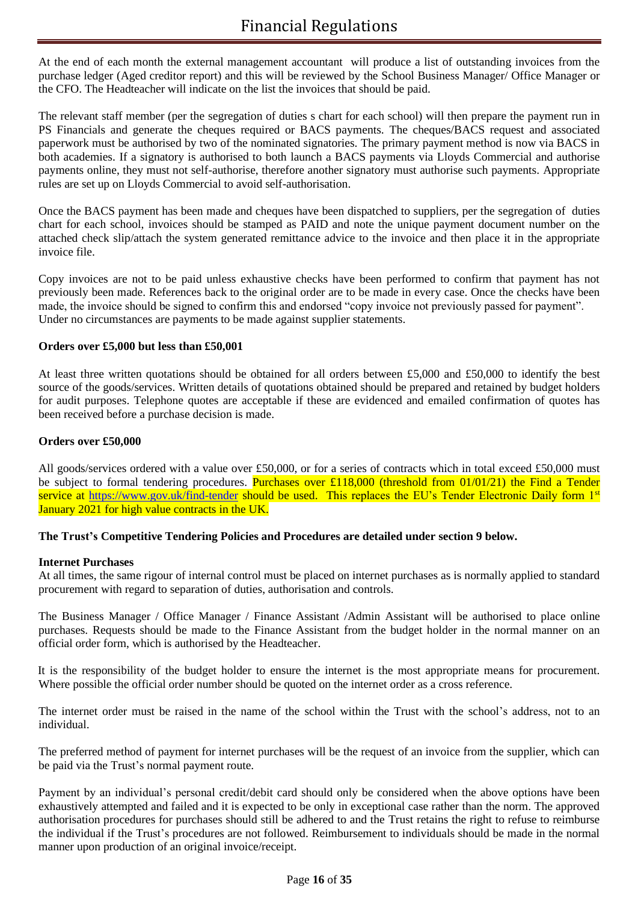# Financial Regulations

At the end of each month the external management accountant will produce a list of outstanding invoices from the purchase ledger (Aged creditor report) and this will be reviewed by the School Business Manager/ Office Manager or the CFO. The Headteacher will indicate on the list the invoices that should be paid.

The relevant staff member (per the segregation of duties s chart for each school) will then prepare the payment run in PS Financials and generate the cheques required or BACS payments. The cheques/BACS request and associated paperwork must be authorised by two of the nominated signatories. The primary payment method is now via BACS in both academies. If a signatory is authorised to both launch a BACS payments via Lloyds Commercial and authorise payments online, they must not self-authorise, therefore another signatory must authorise such payments. Appropriate rules are set up on Lloyds Commercial to avoid self-authorisation.

Once the BACS payment has been made and cheques have been dispatched to suppliers, per the segregation of duties chart for each school, invoices should be stamped as PAID and note the unique payment document number on the attached check slip/attach the system generated remittance advice to the invoice and then place it in the appropriate invoice file.

Copy invoices are not to be paid unless exhaustive checks have been performed to confirm that payment has not previously been made. References back to the original order are to be made in every case. Once the checks have been made, the invoice should be signed to confirm this and endorsed "copy invoice not previously passed for payment". Under no circumstances are payments to be made against supplier statements.

## **Orders over £5,000 but less than £50,001**

At least three written quotations should be obtained for all orders between £5,000 and £50,000 to identify the best source of the goods/services. Written details of quotations obtained should be prepared and retained by budget holders for audit purposes. Telephone quotes are acceptable if these are evidenced and emailed confirmation of quotes has been received before a purchase decision is made.

## **Orders over £50,000**

All goods/services ordered with a value over £50,000, or for a series of contracts which in total exceed £50,000 must be subject to formal tendering procedures. Purchases over £118,000 (threshold from 01/01/21) the Find a Tender service at<https://www.gov.uk/find-tender> should be used. This replaces the EU's Tender Electronic Daily form 1<sup>st</sup> January 2021 for high value contracts in the UK.

## **The Trust's Competitive Tendering Policies and Procedures are detailed under section 9 below.**

#### **Internet Purchases**

At all times, the same rigour of internal control must be placed on internet purchases as is normally applied to standard procurement with regard to separation of duties, authorisation and controls.

The Business Manager / Office Manager / Finance Assistant /Admin Assistant will be authorised to place online purchases. Requests should be made to the Finance Assistant from the budget holder in the normal manner on an official order form, which is authorised by the Headteacher.

It is the responsibility of the budget holder to ensure the internet is the most appropriate means for procurement. Where possible the official order number should be quoted on the internet order as a cross reference.

The internet order must be raised in the name of the school within the Trust with the school's address, not to an individual.

The preferred method of payment for internet purchases will be the request of an invoice from the supplier, which can be paid via the Trust's normal payment route.

Payment by an individual's personal credit/debit card should only be considered when the above options have been exhaustively attempted and failed and it is expected to be only in exceptional case rather than the norm. The approved authorisation procedures for purchases should still be adhered to and the Trust retains the right to refuse to reimburse the individual if the Trust's procedures are not followed. Reimbursement to individuals should be made in the normal manner upon production of an original invoice/receipt.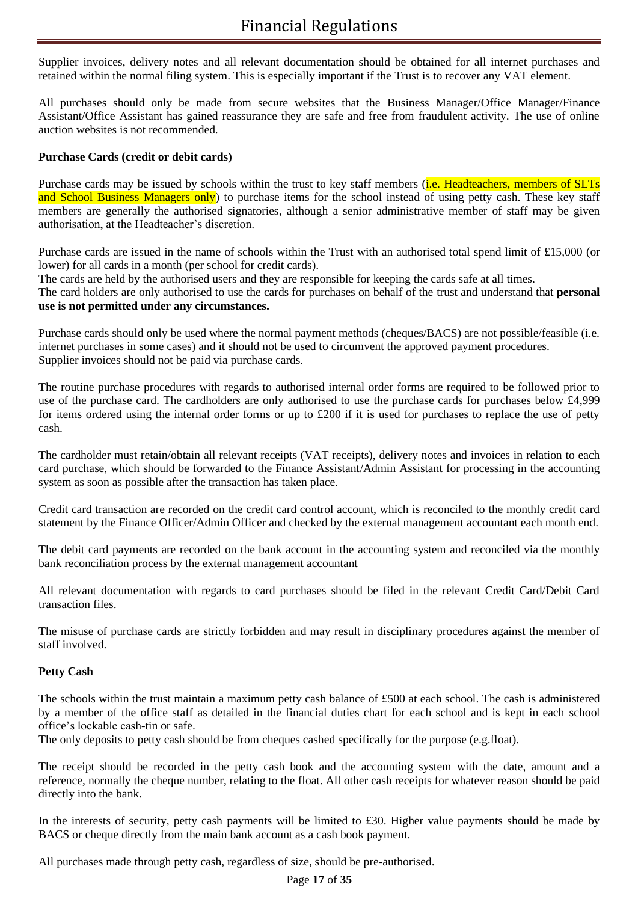Supplier invoices, delivery notes and all relevant documentation should be obtained for all internet purchases and retained within the normal filing system. This is especially important if the Trust is to recover any VAT element.

All purchases should only be made from secure websites that the Business Manager/Office Manager/Finance Assistant/Office Assistant has gained reassurance they are safe and free from fraudulent activity. The use of online auction websites is not recommended.

## **Purchase Cards (credit or debit cards)**

Purchase cards may be issued by schools within the trust to key staff members (*i.e. Headteachers, members of SLTs* and School Business Managers only) to purchase items for the school instead of using petty cash. These key staff members are generally the authorised signatories, although a senior administrative member of staff may be given authorisation, at the Headteacher's discretion.

Purchase cards are issued in the name of schools within the Trust with an authorised total spend limit of £15,000 (or lower) for all cards in a month (per school for credit cards).

The cards are held by the authorised users and they are responsible for keeping the cards safe at all times.

The card holders are only authorised to use the cards for purchases on behalf of the trust and understand that **personal use is not permitted under any circumstances.**

Purchase cards should only be used where the normal payment methods (cheques/BACS) are not possible/feasible (i.e. internet purchases in some cases) and it should not be used to circumvent the approved payment procedures. Supplier invoices should not be paid via purchase cards.

The routine purchase procedures with regards to authorised internal order forms are required to be followed prior to use of the purchase card. The cardholders are only authorised to use the purchase cards for purchases below £4,999 for items ordered using the internal order forms or up to  $\text{\pounds}200$  if it is used for purchases to replace the use of petty cash.

The cardholder must retain/obtain all relevant receipts (VAT receipts), delivery notes and invoices in relation to each card purchase, which should be forwarded to the Finance Assistant/Admin Assistant for processing in the accounting system as soon as possible after the transaction has taken place.

Credit card transaction are recorded on the credit card control account, which is reconciled to the monthly credit card statement by the Finance Officer/Admin Officer and checked by the external management accountant each month end.

The debit card payments are recorded on the bank account in the accounting system and reconciled via the monthly bank reconciliation process by the external management accountant

All relevant documentation with regards to card purchases should be filed in the relevant Credit Card/Debit Card transaction files.

The misuse of purchase cards are strictly forbidden and may result in disciplinary procedures against the member of staff involved.

## **Petty Cash**

The schools within the trust maintain a maximum petty cash balance of £500 at each school. The cash is administered by a member of the office staff as detailed in the financial duties chart for each school and is kept in each school office's lockable cash-tin or safe.

The only deposits to petty cash should be from cheques cashed specifically for the purpose (e.g.float).

The receipt should be recorded in the petty cash book and the accounting system with the date, amount and a reference, normally the cheque number, relating to the float. All other cash receipts for whatever reason should be paid directly into the bank.

In the interests of security, petty cash payments will be limited to £30. Higher value payments should be made by BACS or cheque directly from the main bank account as a cash book payment.

All purchases made through petty cash, regardless of size, should be pre-authorised.

#### Page **17** of **35**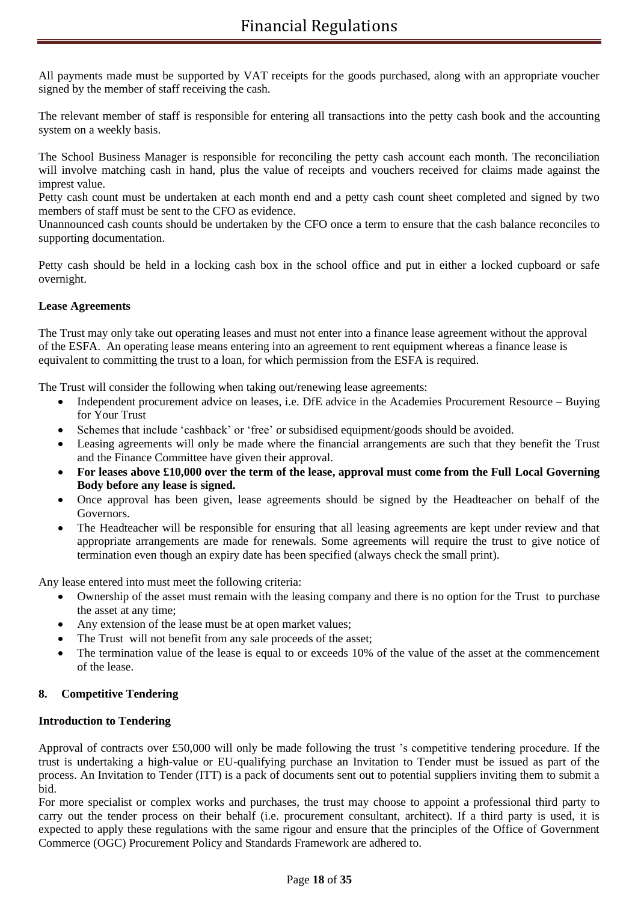All payments made must be supported by VAT receipts for the goods purchased, along with an appropriate voucher signed by the member of staff receiving the cash.

The relevant member of staff is responsible for entering all transactions into the petty cash book and the accounting system on a weekly basis.

The School Business Manager is responsible for reconciling the petty cash account each month. The reconciliation will involve matching cash in hand, plus the value of receipts and vouchers received for claims made against the imprest value.

Petty cash count must be undertaken at each month end and a petty cash count sheet completed and signed by two members of staff must be sent to the CFO as evidence.

Unannounced cash counts should be undertaken by the CFO once a term to ensure that the cash balance reconciles to supporting documentation.

Petty cash should be held in a locking cash box in the school office and put in either a locked cupboard or safe overnight.

## **Lease Agreements**

The Trust may only take out operating leases and must not enter into a finance lease agreement without the approval of the ESFA. An operating lease means entering into an agreement to rent equipment whereas a finance lease is equivalent to committing the trust to a loan, for which permission from the ESFA is required.

The Trust will consider the following when taking out/renewing lease agreements:

- Independent procurement advice on leases, i.e. DfE advice in the Academies Procurement Resource Buying for Your Trust
- Schemes that include 'cashback' or 'free' or subsidised equipment/goods should be avoided.
- Leasing agreements will only be made where the financial arrangements are such that they benefit the Trust and the Finance Committee have given their approval.
- **For leases above £10,000 over the term of the lease, approval must come from the Full Local Governing Body before any lease is signed.**
- Once approval has been given, lease agreements should be signed by the Headteacher on behalf of the Governors.
- The Headteacher will be responsible for ensuring that all leasing agreements are kept under review and that appropriate arrangements are made for renewals. Some agreements will require the trust to give notice of termination even though an expiry date has been specified (always check the small print).

Any lease entered into must meet the following criteria:

- Ownership of the asset must remain with the leasing company and there is no option for the Trust to purchase the asset at any time;
- Any extension of the lease must be at open market values;
- The Trust will not benefit from any sale proceeds of the asset;
- The termination value of the lease is equal to or exceeds 10% of the value of the asset at the commencement of the lease.

## **8. Competitive Tendering**

#### **Introduction to Tendering**

Approval of contracts over £50,000 will only be made following the trust 's competitive tendering procedure. If the trust is undertaking a high-value or EU-qualifying purchase an Invitation to Tender must be issued as part of the process. An Invitation to Tender (ITT) is a pack of documents sent out to potential suppliers inviting them to submit a bid.

For more specialist or complex works and purchases, the trust may choose to appoint a professional third party to carry out the tender process on their behalf (i.e. procurement consultant, architect). If a third party is used, it is expected to apply these regulations with the same rigour and ensure that the principles of the Office of Government Commerce (OGC) Procurement Policy and Standards Framework are adhered to.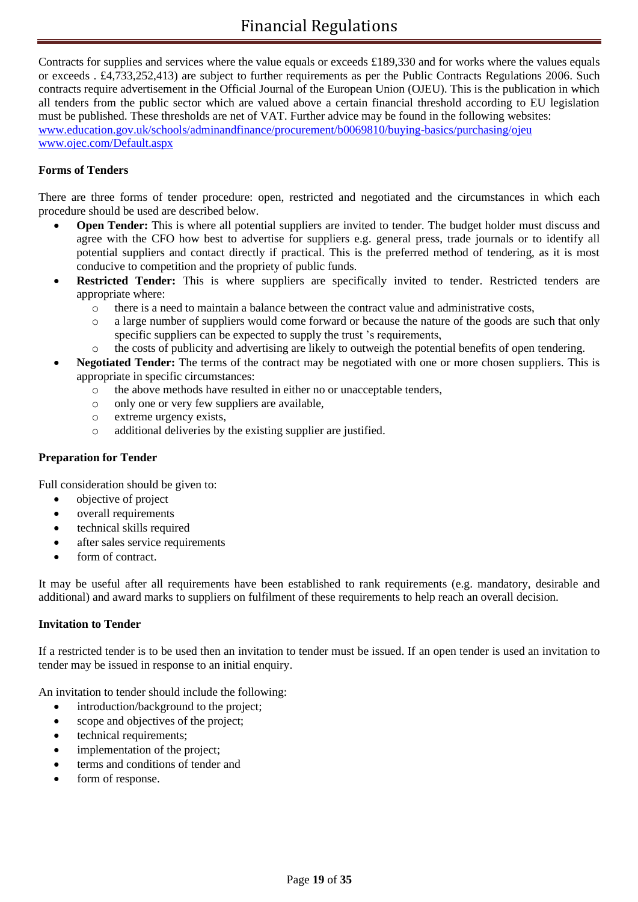Contracts for supplies and services where the value equals or exceeds £189,330 and for works where the values equals or exceeds . £4,733,252,413) are subject to further requirements as per the Public Contracts Regulations 2006. Such contracts require advertisement in the Official Journal of the European Union (OJEU). This is the publication in which all tenders from the public sector which are valued above a certain financial threshold according to EU legislation must be published. These thresholds are net of VAT. Further advice may be found in the following websites: [www.education.gov.uk/schools/adminandfinance/procurement/b0069810/buying-basics/purchasing/ojeu](http://www.education.gov.uk/schools/adminandfinance/procurement/b0069810/buying-basics/purchasing/ojeu) [www.ojec.com/Default.aspx](http://www.ojec.com/Default.aspx)

## **Forms of Tenders**

There are three forms of tender procedure: open, restricted and negotiated and the circumstances in which each procedure should be used are described below.

- **Open Tender:** This is where all potential suppliers are invited to tender. The budget holder must discuss and agree with the CFO how best to advertise for suppliers e.g. general press, trade journals or to identify all potential suppliers and contact directly if practical. This is the preferred method of tendering, as it is most conducive to competition and the propriety of public funds.
- **Restricted Tender:** This is where suppliers are specifically invited to tender. Restricted tenders are appropriate where:
	- o there is a need to maintain a balance between the contract value and administrative costs,
	- o a large number of suppliers would come forward or because the nature of the goods are such that only specific suppliers can be expected to supply the trust 's requirements,
	- o the costs of publicity and advertising are likely to outweigh the potential benefits of open tendering.
- **Negotiated Tender:** The terms of the contract may be negotiated with one or more chosen suppliers. This is appropriate in specific circumstances:
	- o the above methods have resulted in either no or unacceptable tenders,
	- o only one or very few suppliers are available,
	- o extreme urgency exists,
	- o additional deliveries by the existing supplier are justified.

#### **Preparation for Tender**

Full consideration should be given to:

- objective of project
- overall requirements
- technical skills required
- after sales service requirements
- form of contract.

It may be useful after all requirements have been established to rank requirements (e.g. mandatory, desirable and additional) and award marks to suppliers on fulfilment of these requirements to help reach an overall decision.

#### **Invitation to Tender**

If a restricted tender is to be used then an invitation to tender must be issued. If an open tender is used an invitation to tender may be issued in response to an initial enquiry.

An invitation to tender should include the following:

- introduction/background to the project;
- scope and objectives of the project;
- technical requirements:
- implementation of the project:
- terms and conditions of tender and
- form of response.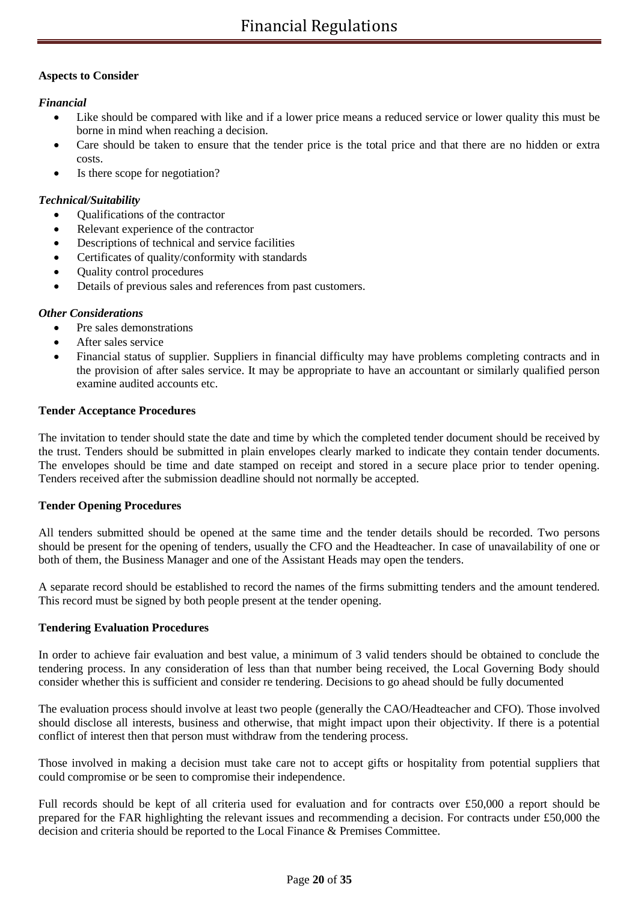## **Aspects to Consider**

## *Financial*

- Like should be compared with like and if a lower price means a reduced service or lower quality this must be borne in mind when reaching a decision.
- Care should be taken to ensure that the tender price is the total price and that there are no hidden or extra costs.
- Is there scope for negotiation?

## *Technical/Suitability*

- Qualifications of the contractor
- Relevant experience of the contractor
- Descriptions of technical and service facilities
- Certificates of quality/conformity with standards
- Quality control procedures
- Details of previous sales and references from past customers.

## *Other Considerations*

- Pre sales demonstrations
- After sales service
- Financial status of supplier. Suppliers in financial difficulty may have problems completing contracts and in the provision of after sales service. It may be appropriate to have an accountant or similarly qualified person examine audited accounts etc.

## **Tender Acceptance Procedures**

The invitation to tender should state the date and time by which the completed tender document should be received by the trust. Tenders should be submitted in plain envelopes clearly marked to indicate they contain tender documents. The envelopes should be time and date stamped on receipt and stored in a secure place prior to tender opening. Tenders received after the submission deadline should not normally be accepted.

## **Tender Opening Procedures**

All tenders submitted should be opened at the same time and the tender details should be recorded. Two persons should be present for the opening of tenders, usually the CFO and the Headteacher. In case of unavailability of one or both of them, the Business Manager and one of the Assistant Heads may open the tenders.

A separate record should be established to record the names of the firms submitting tenders and the amount tendered. This record must be signed by both people present at the tender opening.

## **Tendering Evaluation Procedures**

In order to achieve fair evaluation and best value, a minimum of 3 valid tenders should be obtained to conclude the tendering process. In any consideration of less than that number being received, the Local Governing Body should consider whether this is sufficient and consider re tendering. Decisions to go ahead should be fully documented

The evaluation process should involve at least two people (generally the CAO/Headteacher and CFO). Those involved should disclose all interests, business and otherwise, that might impact upon their objectivity. If there is a potential conflict of interest then that person must withdraw from the tendering process.

Those involved in making a decision must take care not to accept gifts or hospitality from potential suppliers that could compromise or be seen to compromise their independence.

Full records should be kept of all criteria used for evaluation and for contracts over £50,000 a report should be prepared for the FAR highlighting the relevant issues and recommending a decision. For contracts under £50,000 the decision and criteria should be reported to the Local Finance & Premises Committee.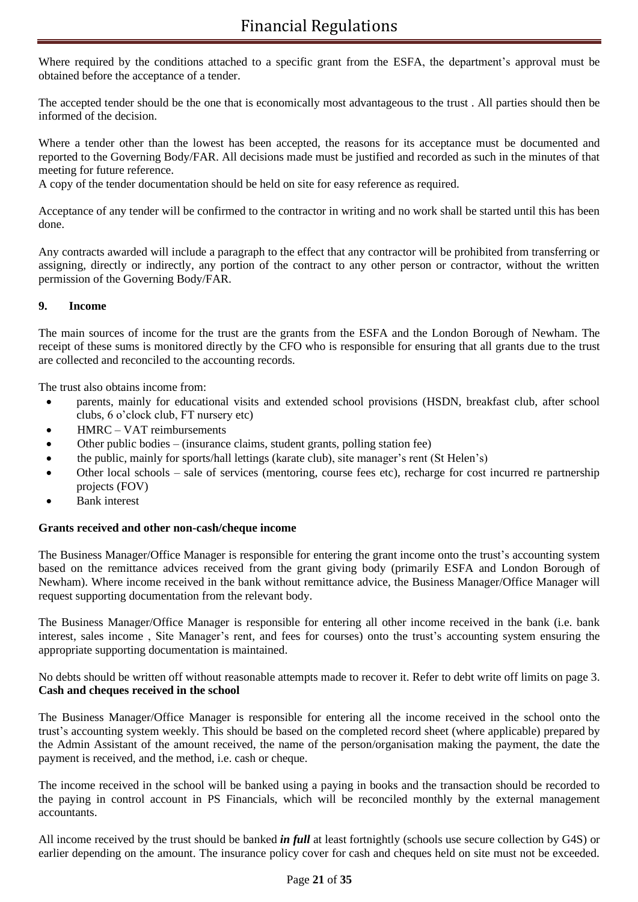Where required by the conditions attached to a specific grant from the ESFA, the department's approval must be obtained before the acceptance of a tender.

The accepted tender should be the one that is economically most advantageous to the trust . All parties should then be informed of the decision.

Where a tender other than the lowest has been accepted, the reasons for its acceptance must be documented and reported to the Governing Body/FAR. All decisions made must be justified and recorded as such in the minutes of that meeting for future reference.

A copy of the tender documentation should be held on site for easy reference as required.

Acceptance of any tender will be confirmed to the contractor in writing and no work shall be started until this has been done.

Any contracts awarded will include a paragraph to the effect that any contractor will be prohibited from transferring or assigning, directly or indirectly, any portion of the contract to any other person or contractor, without the written permission of the Governing Body/FAR.

## **9. Income**

The main sources of income for the trust are the grants from the ESFA and the London Borough of Newham. The receipt of these sums is monitored directly by the CFO who is responsible for ensuring that all grants due to the trust are collected and reconciled to the accounting records.

The trust also obtains income from:

- parents, mainly for educational visits and extended school provisions (HSDN, breakfast club, after school clubs, 6 o'clock club, FT nursery etc)
- HMRC VAT reimbursements
- Other public bodies (insurance claims, student grants, polling station fee)
- the public, mainly for sports/hall lettings (karate club), site manager's rent (St Helen's)
- Other local schools sale of services (mentoring, course fees etc), recharge for cost incurred re partnership projects (FOV)
- Bank interest

#### **Grants received and other non-cash/cheque income**

The Business Manager/Office Manager is responsible for entering the grant income onto the trust's accounting system based on the remittance advices received from the grant giving body (primarily ESFA and London Borough of Newham). Where income received in the bank without remittance advice, the Business Manager/Office Manager will request supporting documentation from the relevant body.

The Business Manager/Office Manager is responsible for entering all other income received in the bank (i.e. bank interest, sales income , Site Manager's rent, and fees for courses) onto the trust's accounting system ensuring the appropriate supporting documentation is maintained.

No debts should be written off without reasonable attempts made to recover it. Refer to debt write off limits on page 3. **Cash and cheques received in the school**

The Business Manager/Office Manager is responsible for entering all the income received in the school onto the trust's accounting system weekly. This should be based on the completed record sheet (where applicable) prepared by the Admin Assistant of the amount received, the name of the person/organisation making the payment, the date the payment is received, and the method, i.e. cash or cheque.

The income received in the school will be banked using a paying in books and the transaction should be recorded to the paying in control account in PS Financials, which will be reconciled monthly by the external management accountants.

All income received by the trust should be banked *in full* at least fortnightly (schools use secure collection by G4S) or earlier depending on the amount. The insurance policy cover for cash and cheques held on site must not be exceeded.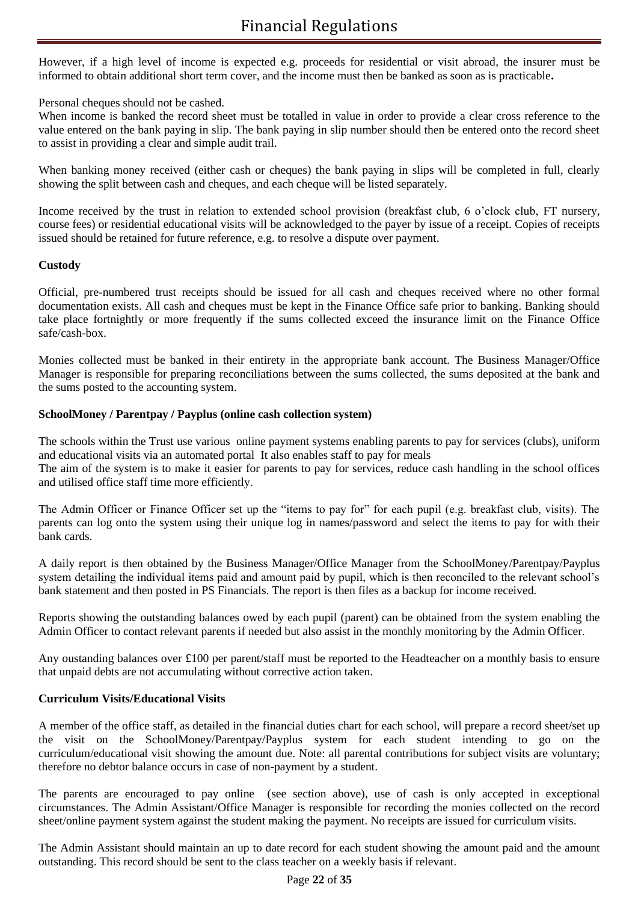However, if a high level of income is expected e.g. proceeds for residential or visit abroad, the insurer must be informed to obtain additional short term cover, and the income must then be banked as soon as is practicable**.**

## Personal cheques should not be cashed.

When income is banked the record sheet must be totalled in value in order to provide a clear cross reference to the value entered on the bank paying in slip. The bank paying in slip number should then be entered onto the record sheet to assist in providing a clear and simple audit trail.

When banking money received (either cash or cheques) the bank paying in slips will be completed in full, clearly showing the split between cash and cheques, and each cheque will be listed separately.

Income received by the trust in relation to extended school provision (breakfast club, 6 o'clock club, FT nursery, course fees) or residential educational visits will be acknowledged to the payer by issue of a receipt. Copies of receipts issued should be retained for future reference, e.g. to resolve a dispute over payment.

## **Custody**

Official, pre-numbered trust receipts should be issued for all cash and cheques received where no other formal documentation exists. All cash and cheques must be kept in the Finance Office safe prior to banking. Banking should take place fortnightly or more frequently if the sums collected exceed the insurance limit on the Finance Office safe/cash-box.

Monies collected must be banked in their entirety in the appropriate bank account. The Business Manager/Office Manager is responsible for preparing reconciliations between the sums collected, the sums deposited at the bank and the sums posted to the accounting system.

## **SchoolMoney / Parentpay / Payplus (online cash collection system)**

The schools within the Trust use various online payment systems enabling parents to pay for services (clubs), uniform and educational visits via an automated portal It also enables staff to pay for meals The aim of the system is to make it easier for parents to pay for services, reduce cash handling in the school offices and utilised office staff time more efficiently.

The Admin Officer or Finance Officer set up the "items to pay for" for each pupil (e.g. breakfast club, visits). The parents can log onto the system using their unique log in names/password and select the items to pay for with their bank cards.

A daily report is then obtained by the Business Manager/Office Manager from the SchoolMoney/Parentpay/Payplus system detailing the individual items paid and amount paid by pupil, which is then reconciled to the relevant school's bank statement and then posted in PS Financials. The report is then files as a backup for income received.

Reports showing the outstanding balances owed by each pupil (parent) can be obtained from the system enabling the Admin Officer to contact relevant parents if needed but also assist in the monthly monitoring by the Admin Officer.

Any oustanding balances over £100 per parent/staff must be reported to the Headteacher on a monthly basis to ensure that unpaid debts are not accumulating without corrective action taken.

## **Curriculum Visits/Educational Visits**

A member of the office staff, as detailed in the financial duties chart for each school, will prepare a record sheet/set up the visit on the SchoolMoney/Parentpay/Payplus system for each student intending to go on the curriculum/educational visit showing the amount due. Note: all parental contributions for subject visits are voluntary; therefore no debtor balance occurs in case of non-payment by a student.

The parents are encouraged to pay online (see section above), use of cash is only accepted in exceptional circumstances. The Admin Assistant/Office Manager is responsible for recording the monies collected on the record sheet/online payment system against the student making the payment. No receipts are issued for curriculum visits.

The Admin Assistant should maintain an up to date record for each student showing the amount paid and the amount outstanding. This record should be sent to the class teacher on a weekly basis if relevant.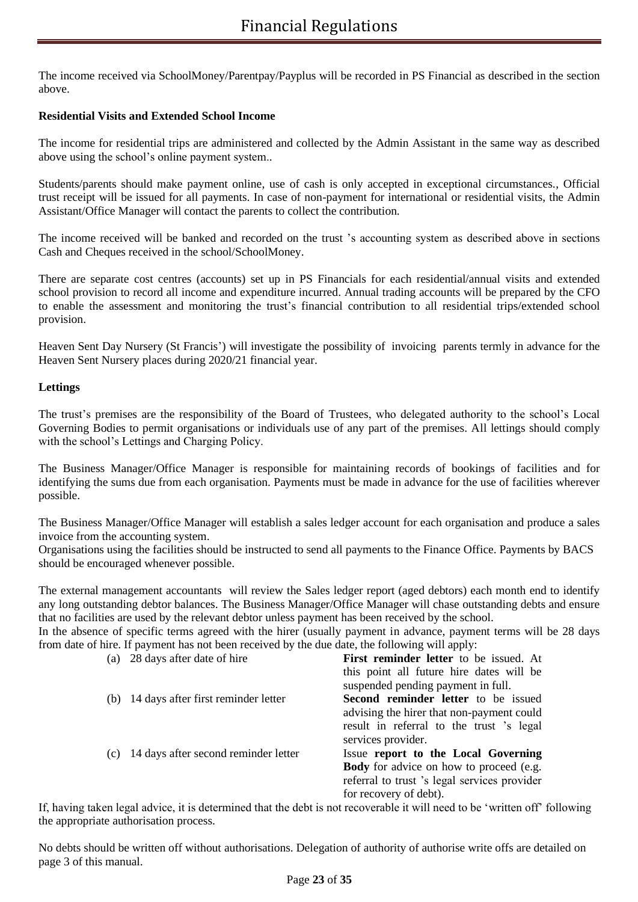The income received via SchoolMoney/Parentpay/Payplus will be recorded in PS Financial as described in the section above.

## **Residential Visits and Extended School Income**

The income for residential trips are administered and collected by the Admin Assistant in the same way as described above using the school's online payment system..

Students/parents should make payment online, use of cash is only accepted in exceptional circumstances., Official trust receipt will be issued for all payments. In case of non-payment for international or residential visits, the Admin Assistant/Office Manager will contact the parents to collect the contribution.

The income received will be banked and recorded on the trust 's accounting system as described above in sections Cash and Cheques received in the school/SchoolMoney.

There are separate cost centres (accounts) set up in PS Financials for each residential/annual visits and extended school provision to record all income and expenditure incurred. Annual trading accounts will be prepared by the CFO to enable the assessment and monitoring the trust's financial contribution to all residential trips/extended school provision.

Heaven Sent Day Nursery (St Francis') will investigate the possibility of invoicing parents termly in advance for the Heaven Sent Nursery places during 2020/21 financial year.

## **Lettings**

The trust's premises are the responsibility of the Board of Trustees, who delegated authority to the school's Local Governing Bodies to permit organisations or individuals use of any part of the premises. All lettings should comply with the school's Lettings and Charging Policy.

The Business Manager/Office Manager is responsible for maintaining records of bookings of facilities and for identifying the sums due from each organisation. Payments must be made in advance for the use of facilities wherever possible.

The Business Manager/Office Manager will establish a sales ledger account for each organisation and produce a sales invoice from the accounting system.

Organisations using the facilities should be instructed to send all payments to the Finance Office. Payments by BACS should be encouraged whenever possible.

The external management accountants will review the Sales ledger report (aged debtors) each month end to identify any long outstanding debtor balances. The Business Manager/Office Manager will chase outstanding debts and ensure that no facilities are used by the relevant debtor unless payment has been received by the school.

In the absence of specific terms agreed with the hirer (usually payment in advance, payment terms will be 28 days from date of hire. If payment has not been received by the due date, the following will apply:

| 28 days after date of hire<br>(a)           | First reminder letter to be issued. At         |
|---------------------------------------------|------------------------------------------------|
|                                             | this point all future hire dates will be       |
|                                             | suspended pending payment in full.             |
| 14 days after first reminder letter<br>(b)  | Second reminder letter to be issued            |
|                                             | advising the hirer that non-payment could      |
|                                             | result in referral to the trust 's legal       |
|                                             | services provider.                             |
| 14 days after second reminder letter<br>(c) | Issue report to the Local Governing            |
|                                             | <b>Body</b> for advice on how to proceed (e.g. |
|                                             |                                                |
|                                             | for recovery of debt).                         |
|                                             | referral to trust 's legal services provider   |

If, having taken legal advice, it is determined that the debt is not recoverable it will need to be 'written off' following the appropriate authorisation process.

No debts should be written off without authorisations. Delegation of authority of authorise write offs are detailed on page 3 of this manual.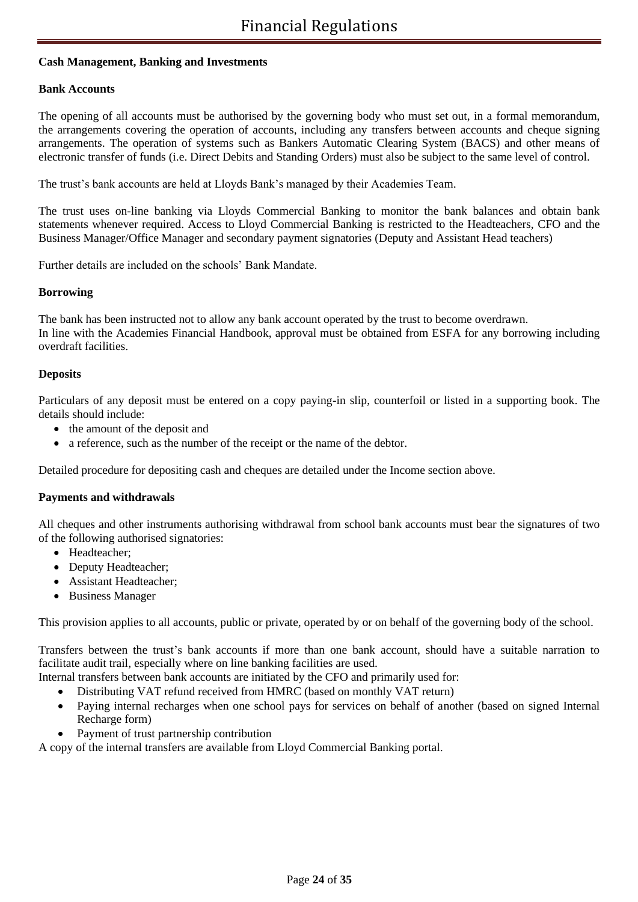## **Cash Management, Banking and Investments**

#### **Bank Accounts**

The opening of all accounts must be authorised by the governing body who must set out, in a formal memorandum, the arrangements covering the operation of accounts, including any transfers between accounts and cheque signing arrangements. The operation of systems such as Bankers Automatic Clearing System (BACS) and other means of electronic transfer of funds (i.e. Direct Debits and Standing Orders) must also be subject to the same level of control.

The trust's bank accounts are held at Lloyds Bank's managed by their Academies Team.

The trust uses on-line banking via Lloyds Commercial Banking to monitor the bank balances and obtain bank statements whenever required. Access to Lloyd Commercial Banking is restricted to the Headteachers, CFO and the Business Manager/Office Manager and secondary payment signatories (Deputy and Assistant Head teachers)

Further details are included on the schools' Bank Mandate.

## **Borrowing**

The bank has been instructed not to allow any bank account operated by the trust to become overdrawn. In line with the Academies Financial Handbook, approval must be obtained from ESFA for any borrowing including overdraft facilities.

#### **Deposits**

Particulars of any deposit must be entered on a copy paying-in slip, counterfoil or listed in a supporting book. The details should include:

- the amount of the deposit and
- a reference, such as the number of the receipt or the name of the debtor.

Detailed procedure for depositing cash and cheques are detailed under the Income section above.

#### **Payments and withdrawals**

All cheques and other instruments authorising withdrawal from school bank accounts must bear the signatures of two of the following authorised signatories:

- Headteacher;
- Deputy Headteacher;
- Assistant Headteacher;
- Business Manager

This provision applies to all accounts, public or private, operated by or on behalf of the governing body of the school.

Transfers between the trust's bank accounts if more than one bank account, should have a suitable narration to facilitate audit trail, especially where on line banking facilities are used.

- Internal transfers between bank accounts are initiated by the CFO and primarily used for:
	- Distributing VAT refund received from HMRC (based on monthly VAT return)
	- Paying internal recharges when one school pays for services on behalf of another (based on signed Internal Recharge form)
	- Payment of trust partnership contribution

A copy of the internal transfers are available from Lloyd Commercial Banking portal.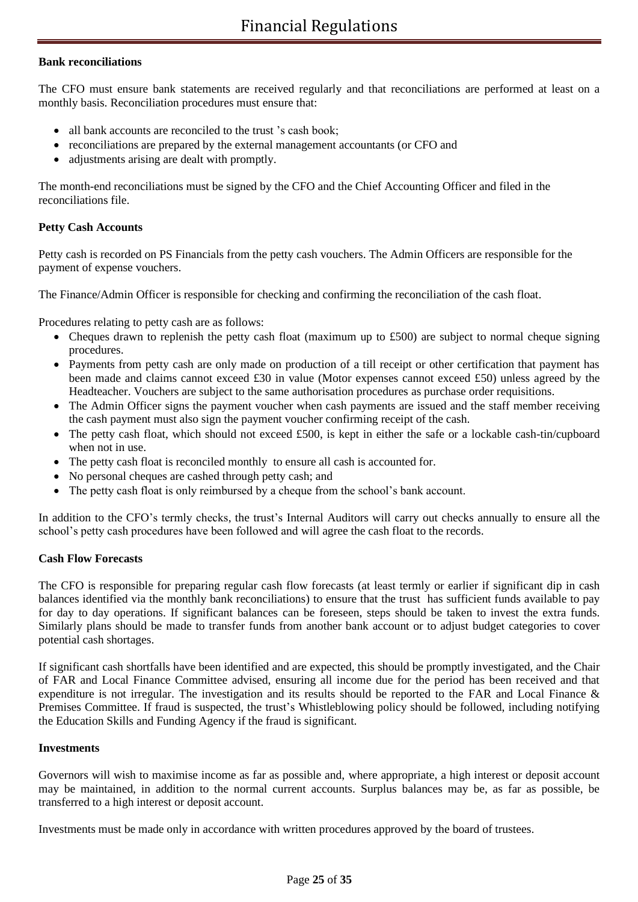## **Bank reconciliations**

The CFO must ensure bank statements are received regularly and that reconciliations are performed at least on a monthly basis. Reconciliation procedures must ensure that:

- all bank accounts are reconciled to the trust 's cash book:
- reconciliations are prepared by the external management accountants (or CFO and
- adjustments arising are dealt with promptly.

The month-end reconciliations must be signed by the CFO and the Chief Accounting Officer and filed in the reconciliations file.

## **Petty Cash Accounts**

Petty cash is recorded on PS Financials from the petty cash vouchers. The Admin Officers are responsible for the payment of expense vouchers.

The Finance/Admin Officer is responsible for checking and confirming the reconciliation of the cash float.

Procedures relating to petty cash are as follows:

- Cheques drawn to replenish the petty cash float (maximum up to £500) are subject to normal cheque signing procedures.
- Payments from petty cash are only made on production of a till receipt or other certification that payment has been made and claims cannot exceed £30 in value (Motor expenses cannot exceed £50) unless agreed by the Headteacher. Vouchers are subject to the same authorisation procedures as purchase order requisitions.
- The Admin Officer signs the payment voucher when cash payments are issued and the staff member receiving the cash payment must also sign the payment voucher confirming receipt of the cash.
- The petty cash float, which should not exceed £500, is kept in either the safe or a lockable cash-tin/cupboard when not in use.
- The petty cash float is reconciled monthly to ensure all cash is accounted for.
- No personal cheques are cashed through petty cash; and
- The petty cash float is only reimbursed by a cheque from the school's bank account.

In addition to the CFO's termly checks, the trust's Internal Auditors will carry out checks annually to ensure all the school's petty cash procedures have been followed and will agree the cash float to the records.

#### **Cash Flow Forecasts**

The CFO is responsible for preparing regular cash flow forecasts (at least termly or earlier if significant dip in cash balances identified via the monthly bank reconciliations) to ensure that the trust has sufficient funds available to pay for day to day operations. If significant balances can be foreseen, steps should be taken to invest the extra funds. Similarly plans should be made to transfer funds from another bank account or to adjust budget categories to cover potential cash shortages.

If significant cash shortfalls have been identified and are expected, this should be promptly investigated, and the Chair of FAR and Local Finance Committee advised, ensuring all income due for the period has been received and that expenditure is not irregular. The investigation and its results should be reported to the FAR and Local Finance & Premises Committee. If fraud is suspected, the trust's Whistleblowing policy should be followed, including notifying the Education Skills and Funding Agency if the fraud is significant.

#### **Investments**

Governors will wish to maximise income as far as possible and, where appropriate, a high interest or deposit account may be maintained, in addition to the normal current accounts. Surplus balances may be, as far as possible, be transferred to a high interest or deposit account.

Investments must be made only in accordance with written procedures approved by the board of trustees.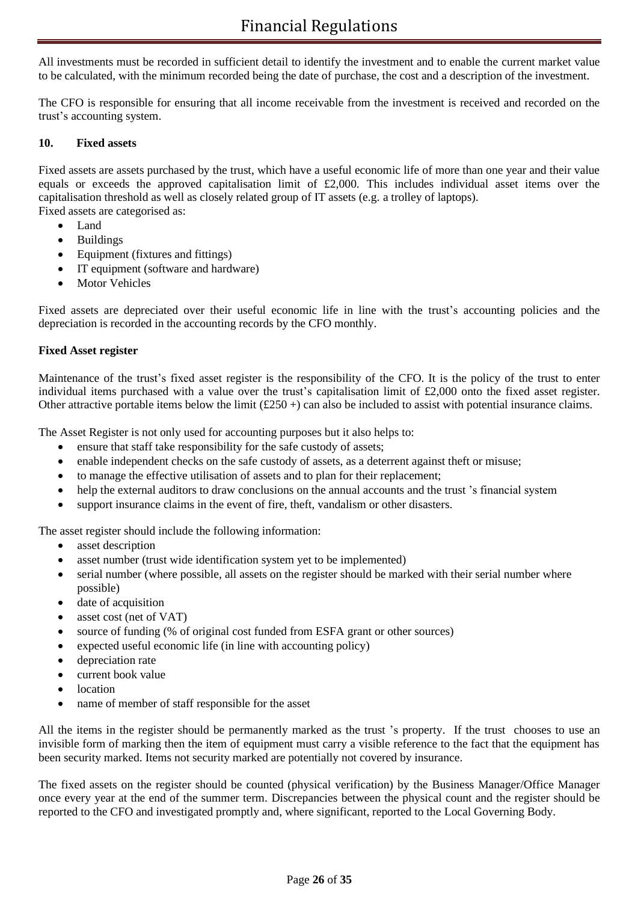All investments must be recorded in sufficient detail to identify the investment and to enable the current market value to be calculated, with the minimum recorded being the date of purchase, the cost and a description of the investment.

The CFO is responsible for ensuring that all income receivable from the investment is received and recorded on the trust's accounting system.

## **10. Fixed assets**

Fixed assets are assets purchased by the trust, which have a useful economic life of more than one year and their value equals or exceeds the approved capitalisation limit of £2,000. This includes individual asset items over the capitalisation threshold as well as closely related group of IT assets (e.g. a trolley of laptops). Fixed assets are categorised as:

- Land
- Buildings
- Equipment (fixtures and fittings)
- IT equipment (software and hardware)
- **Motor Vehicles**

Fixed assets are depreciated over their useful economic life in line with the trust's accounting policies and the depreciation is recorded in the accounting records by the CFO monthly.

## **Fixed Asset register**

Maintenance of the trust's fixed asset register is the responsibility of the CFO. It is the policy of the trust to enter individual items purchased with a value over the trust's capitalisation limit of £2,000 onto the fixed asset register. Other attractive portable items below the limit  $(\text{\pounds}250+)$  can also be included to assist with potential insurance claims.

The Asset Register is not only used for accounting purposes but it also helps to:

- ensure that staff take responsibility for the safe custody of assets;
- enable independent checks on the safe custody of assets, as a deterrent against theft or misuse;
- to manage the effective utilisation of assets and to plan for their replacement;
- help the external auditors to draw conclusions on the annual accounts and the trust 's financial system
- support insurance claims in the event of fire, theft, vandalism or other disasters.

The asset register should include the following information:

- asset description
- asset number (trust wide identification system yet to be implemented)
- serial number (where possible, all assets on the register should be marked with their serial number where possible)
- date of acquisition
- asset cost (net of VAT)
- source of funding (% of original cost funded from ESFA grant or other sources)
- expected useful economic life (in line with accounting policy)
- depreciation rate
- current book value
- location
- name of member of staff responsible for the asset

All the items in the register should be permanently marked as the trust 's property. If the trust chooses to use an invisible form of marking then the item of equipment must carry a visible reference to the fact that the equipment has been security marked. Items not security marked are potentially not covered by insurance.

The fixed assets on the register should be counted (physical verification) by the Business Manager/Office Manager once every year at the end of the summer term. Discrepancies between the physical count and the register should be reported to the CFO and investigated promptly and, where significant, reported to the Local Governing Body.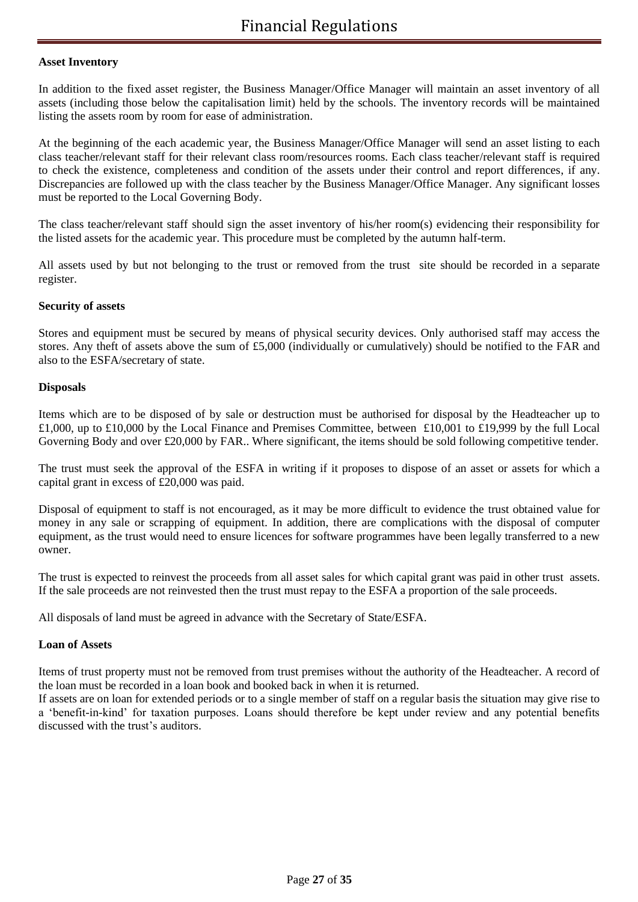#### **Asset Inventory**

In addition to the fixed asset register, the Business Manager/Office Manager will maintain an asset inventory of all assets (including those below the capitalisation limit) held by the schools. The inventory records will be maintained listing the assets room by room for ease of administration.

At the beginning of the each academic year, the Business Manager/Office Manager will send an asset listing to each class teacher/relevant staff for their relevant class room/resources rooms. Each class teacher/relevant staff is required to check the existence, completeness and condition of the assets under their control and report differences, if any. Discrepancies are followed up with the class teacher by the Business Manager/Office Manager. Any significant losses must be reported to the Local Governing Body.

The class teacher/relevant staff should sign the asset inventory of his/her room(s) evidencing their responsibility for the listed assets for the academic year. This procedure must be completed by the autumn half-term.

All assets used by but not belonging to the trust or removed from the trust site should be recorded in a separate register.

## **Security of assets**

Stores and equipment must be secured by means of physical security devices. Only authorised staff may access the stores. Any theft of assets above the sum of £5,000 (individually or cumulatively) should be notified to the FAR and also to the ESFA/secretary of state.

## **Disposals**

Items which are to be disposed of by sale or destruction must be authorised for disposal by the Headteacher up to £1,000, up to £10,000 by the Local Finance and Premises Committee, between £10,001 to £19,999 by the full Local Governing Body and over £20,000 by FAR.. Where significant, the items should be sold following competitive tender.

The trust must seek the approval of the ESFA in writing if it proposes to dispose of an asset or assets for which a capital grant in excess of £20,000 was paid.

Disposal of equipment to staff is not encouraged, as it may be more difficult to evidence the trust obtained value for money in any sale or scrapping of equipment. In addition, there are complications with the disposal of computer equipment, as the trust would need to ensure licences for software programmes have been legally transferred to a new owner.

The trust is expected to reinvest the proceeds from all asset sales for which capital grant was paid in other trust assets. If the sale proceeds are not reinvested then the trust must repay to the ESFA a proportion of the sale proceeds.

All disposals of land must be agreed in advance with the Secretary of State/ESFA.

#### **Loan of Assets**

Items of trust property must not be removed from trust premises without the authority of the Headteacher. A record of the loan must be recorded in a loan book and booked back in when it is returned.

If assets are on loan for extended periods or to a single member of staff on a regular basis the situation may give rise to a 'benefit-in-kind' for taxation purposes. Loans should therefore be kept under review and any potential benefits discussed with the trust's auditors.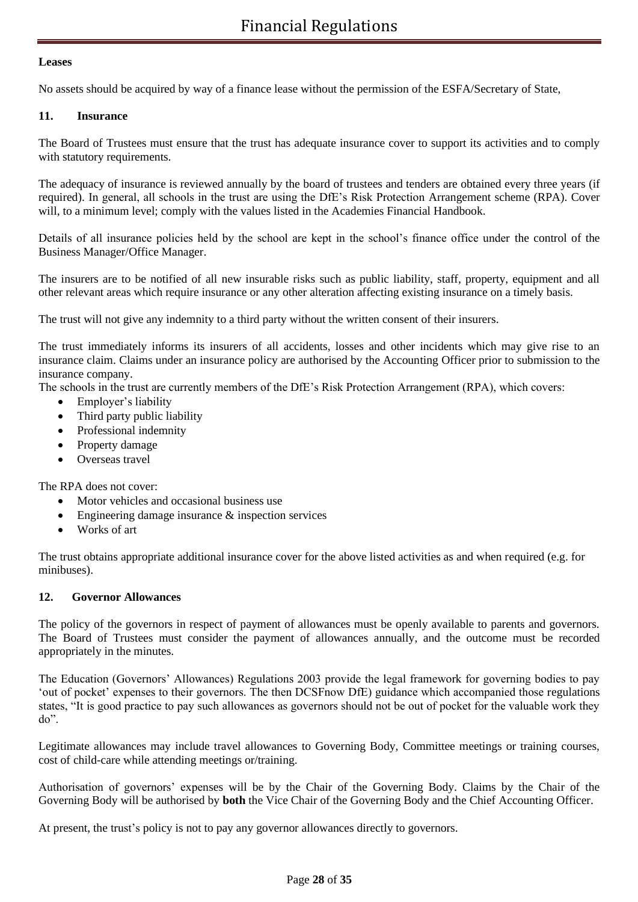## **Leases**

No assets should be acquired by way of a finance lease without the permission of the ESFA/Secretary of State,

## **11. Insurance**

The Board of Trustees must ensure that the trust has adequate insurance cover to support its activities and to comply with statutory requirements.

The adequacy of insurance is reviewed annually by the board of trustees and tenders are obtained every three years (if required). In general, all schools in the trust are using the DfE's Risk Protection Arrangement scheme (RPA). Cover will, to a minimum level; comply with the values listed in the Academies Financial Handbook.

Details of all insurance policies held by the school are kept in the school's finance office under the control of the Business Manager/Office Manager.

The insurers are to be notified of all new insurable risks such as public liability, staff, property, equipment and all other relevant areas which require insurance or any other alteration affecting existing insurance on a timely basis.

The trust will not give any indemnity to a third party without the written consent of their insurers.

The trust immediately informs its insurers of all accidents, losses and other incidents which may give rise to an insurance claim. Claims under an insurance policy are authorised by the Accounting Officer prior to submission to the insurance company.

The schools in the trust are currently members of the DfE's Risk Protection Arrangement (RPA), which covers:

- Employer's liability
- Third party public liability
- Professional indemnity
- Property damage
- Overseas travel

The RPA does not cover:

- Motor vehicles and occasional business use
- Engineering damage insurance  $\&$  inspection services
- Works of art

The trust obtains appropriate additional insurance cover for the above listed activities as and when required (e.g. for minibuses).

## **12. Governor Allowances**

The policy of the governors in respect of payment of allowances must be openly available to parents and governors. The Board of Trustees must consider the payment of allowances annually, and the outcome must be recorded appropriately in the minutes.

The Education (Governors' Allowances) Regulations 2003 provide the legal framework for governing bodies to pay 'out of pocket' expenses to their governors. The then DCSFnow DfE) guidance which accompanied those regulations states, "It is good practice to pay such allowances as governors should not be out of pocket for the valuable work they do".

Legitimate allowances may include travel allowances to Governing Body, Committee meetings or training courses, cost of child-care while attending meetings or/training.

Authorisation of governors' expenses will be by the Chair of the Governing Body. Claims by the Chair of the Governing Body will be authorised by **both** the Vice Chair of the Governing Body and the Chief Accounting Officer.

At present, the trust's policy is not to pay any governor allowances directly to governors.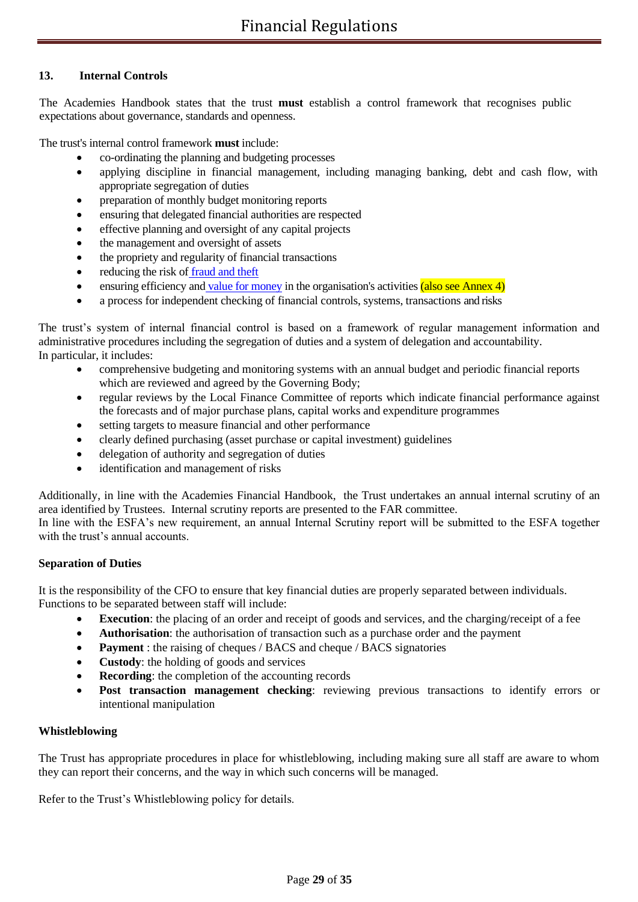## **13. Internal Controls**

The Academies Handbook states that the trust **must** establish a control framework that recognises public expectations about governance, standards and openness.

The trust's internal control framework **must** include:

- co-ordinating the planning and budgeting processes
- applying discipline in financial management, including managing banking, debt and cash flow, with appropriate segregation of duties
- preparation of monthly budget monitoring reports
- ensuring that delegated financial authorities are respected
- effective planning and oversight of any capital projects
- the management and oversight of assets
- the propriety and regularity of financial transactions
- reducing the risk of fraud and theft
- ensuring efficiency and value for money in the organisation's activities  $(also see Annex 4)$
- a process for independent checking of financial controls, systems, transactions and risks

The trust's system of internal financial control is based on a framework of regular management information and administrative procedures including the segregation of duties and a system of delegation and accountability. In particular, it includes:

- comprehensive budgeting and monitoring systems with an annual budget and periodic financial reports which are reviewed and agreed by the Governing Body;
- regular reviews by the Local Finance Committee of reports which indicate financial performance against the forecasts and of major purchase plans, capital works and expenditure programmes
- setting targets to measure financial and other performance
- clearly defined purchasing (asset purchase or capital investment) guidelines
- delegation of authority and segregation of duties
- identification and management of risks

Additionally, in line with the Academies Financial Handbook, the Trust undertakes an annual internal scrutiny of an area identified by Trustees. Internal scrutiny reports are presented to the FAR committee.

In line with the ESFA's new requirement, an annual Internal Scrutiny report will be submitted to the ESFA together with the trust's annual accounts.

#### **Separation of Duties**

It is the responsibility of the CFO to ensure that key financial duties are properly separated between individuals. Functions to be separated between staff will include:

- **Execution**: the placing of an order and receipt of goods and services, and the charging/receipt of a fee
- **Authorisation**: the authorisation of transaction such as a purchase order and the payment
- **Payment** : the raising of cheques / BACS and cheque / BACS signatories
- **Custody**: the holding of goods and services
- **Recording**: the completion of the accounting records
- **Post transaction management checking**: reviewing previous transactions to identify errors or intentional manipulation

#### **Whistleblowing**

The Trust has appropriate procedures in place for whistleblowing, including making sure all staff are aware to whom they can report their concerns, and the way in which such concerns will be managed.

Refer to the Trust's Whistleblowing policy for details.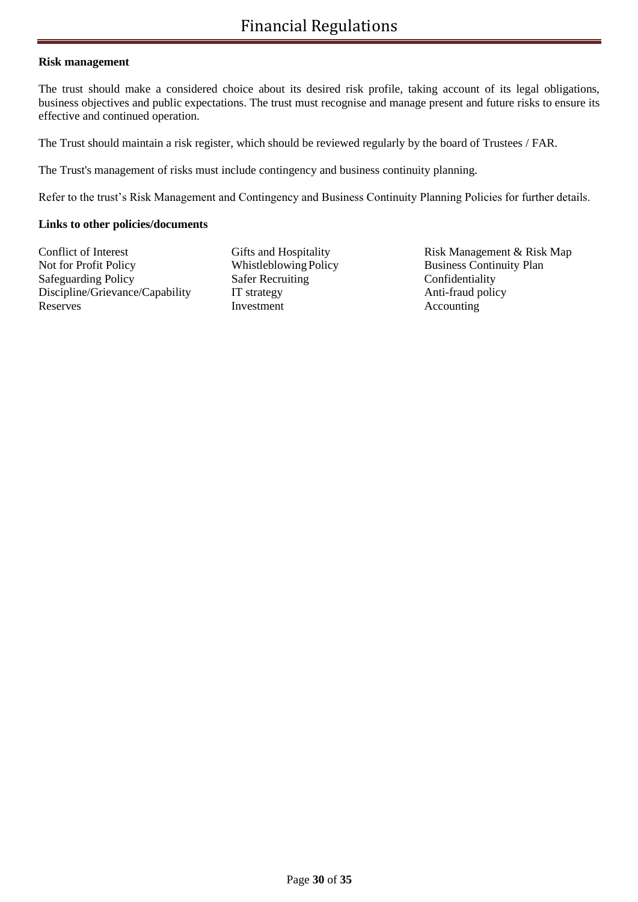#### **Risk management**

The trust should make a considered choice about its desired risk profile, taking account of its legal obligations, business objectives and public expectations. The trust must recognise and manage present and future risks to ensure its effective and continued operation.

The Trust should maintain a risk register, which should be reviewed regularly by the board of Trustees / FAR.

The Trust's management of risks must include contingency and business continuity planning.

Refer to the trust's Risk Management and Contingency and Business Continuity Planning Policies for further details.

## **Links to other policies/documents**

Conflict of Interest Gifts and Hospitality Risk Management & Risk Map Not for Profit Policy Whistleblowing Policy Business Continuity Plan Safeguarding Policy Safer Recruiting Confidentiality Discipline/Grievance/Capability IT strategy Anti-fraud policy Reserves Investment Accounting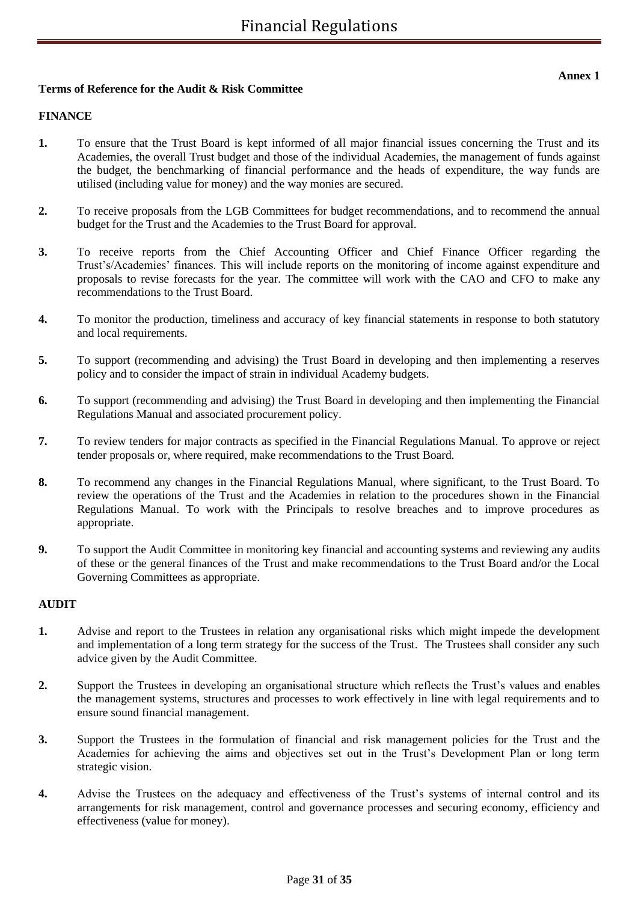## **Terms of Reference for the Audit & Risk Committee**

## **FINANCE**

- **1.** To ensure that the Trust Board is kept informed of all major financial issues concerning the Trust and its Academies, the overall Trust budget and those of the individual Academies, the management of funds against the budget, the benchmarking of financial performance and the heads of expenditure, the way funds are utilised (including value for money) and the way monies are secured.
- **2.** To receive proposals from the LGB Committees for budget recommendations, and to recommend the annual budget for the Trust and the Academies to the Trust Board for approval.
- **3.** To receive reports from the Chief Accounting Officer and Chief Finance Officer regarding the Trust's/Academies' finances. This will include reports on the monitoring of income against expenditure and proposals to revise forecasts for the year. The committee will work with the CAO and CFO to make any recommendations to the Trust Board.
- **4.** To monitor the production, timeliness and accuracy of key financial statements in response to both statutory and local requirements.
- **5.** To support (recommending and advising) the Trust Board in developing and then implementing a reserves policy and to consider the impact of strain in individual Academy budgets.
- **6.** To support (recommending and advising) the Trust Board in developing and then implementing the Financial Regulations Manual and associated procurement policy.
- **7.** To review tenders for major contracts as specified in the Financial Regulations Manual. To approve or reject tender proposals or, where required, make recommendations to the Trust Board.
- **8.** To recommend any changes in the Financial Regulations Manual, where significant, to the Trust Board. To review the operations of the Trust and the Academies in relation to the procedures shown in the Financial Regulations Manual. To work with the Principals to resolve breaches and to improve procedures as appropriate.
- **9.** To support the Audit Committee in monitoring key financial and accounting systems and reviewing any audits of these or the general finances of the Trust and make recommendations to the Trust Board and/or the Local Governing Committees as appropriate.

#### **AUDIT**

- **1.** Advise and report to the Trustees in relation any organisational risks which might impede the development and implementation of a long term strategy for the success of the Trust. The Trustees shall consider any such advice given by the Audit Committee.
- **2.** Support the Trustees in developing an organisational structure which reflects the Trust's values and enables the management systems, structures and processes to work effectively in line with legal requirements and to ensure sound financial management.
- **3.** Support the Trustees in the formulation of financial and risk management policies for the Trust and the Academies for achieving the aims and objectives set out in the Trust's Development Plan or long term strategic vision.
- **4.** Advise the Trustees on the adequacy and effectiveness of the Trust's systems of internal control and its arrangements for risk management, control and governance processes and securing economy, efficiency and effectiveness (value for money).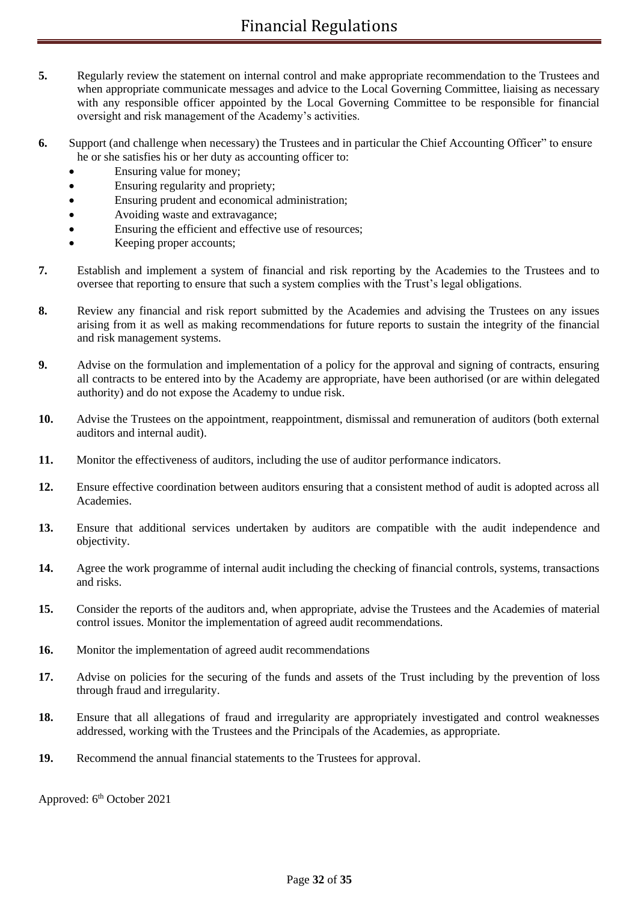- **5.** Regularly review the statement on internal control and make appropriate recommendation to the Trustees and when appropriate communicate messages and advice to the Local Governing Committee, liaising as necessary with any responsible officer appointed by the Local Governing Committee to be responsible for financial oversight and risk management of the Academy's activities.
- **6.** Support (and challenge when necessary) the Trustees and in particular the Chief Accounting Officer" to ensure he or she satisfies his or her duty as accounting officer to:
	- Ensuring value for money;
	- Ensuring regularity and propriety;
	- Ensuring prudent and economical administration;
	- Avoiding waste and extravagance;
	- Ensuring the efficient and effective use of resources;
	- Keeping proper accounts;
- **7.** Establish and implement a system of financial and risk reporting by the Academies to the Trustees and to oversee that reporting to ensure that such a system complies with the Trust's legal obligations.
- **8.** Review any financial and risk report submitted by the Academies and advising the Trustees on any issues arising from it as well as making recommendations for future reports to sustain the integrity of the financial and risk management systems.
- **9.** Advise on the formulation and implementation of a policy for the approval and signing of contracts, ensuring all contracts to be entered into by the Academy are appropriate, have been authorised (or are within delegated authority) and do not expose the Academy to undue risk.
- **10.** Advise the Trustees on the appointment, reappointment, dismissal and remuneration of auditors (both external auditors and internal audit).
- **11.** Monitor the effectiveness of auditors, including the use of auditor performance indicators.
- **12.** Ensure effective coordination between auditors ensuring that a consistent method of audit is adopted across all Academies.
- **13.** Ensure that additional services undertaken by auditors are compatible with the audit independence and objectivity.
- **14.** Agree the work programme of internal audit including the checking of financial controls, systems, transactions and risks.
- **15.** Consider the reports of the auditors and, when appropriate, advise the Trustees and the Academies of material control issues. Monitor the implementation of agreed audit recommendations.
- **16.** Monitor the implementation of agreed audit recommendations
- 17. Advise on policies for the securing of the funds and assets of the Trust including by the prevention of loss through fraud and irregularity.
- **18.** Ensure that all allegations of fraud and irregularity are appropriately investigated and control weaknesses addressed, working with the Trustees and the Principals of the Academies, as appropriate.
- **19.** Recommend the annual financial statements to the Trustees for approval.

Approved: 6<sup>th</sup> October 2021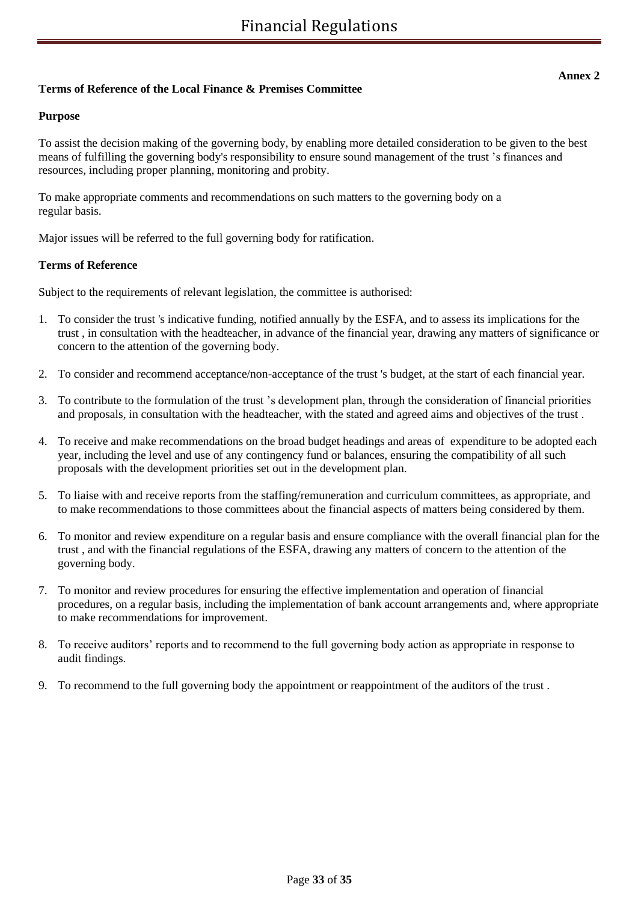## **Terms of Reference of the Local Finance & Premises Committee**

#### **Purpose**

To assist the decision making of the governing body, by enabling more detailed consideration to be given to the best means of fulfilling the governing body's responsibility to ensure sound management of the trust 's finances and resources, including proper planning, monitoring and probity.

To make appropriate comments and recommendations on such matters to the governing body on a regular basis.

Major issues will be referred to the full governing body for ratification.

#### **Terms of Reference**

Subject to the requirements of relevant legislation, the committee is authorised:

- 1. To consider the trust 's indicative funding, notified annually by the ESFA, and to assess its implications for the trust , in consultation with the headteacher, in advance of the financial year, drawing any matters of significance or concern to the attention of the governing body.
- 2. To consider and recommend acceptance/non-acceptance of the trust 's budget, at the start of each financial year.
- 3. To contribute to the formulation of the trust 's development plan, through the consideration of financial priorities and proposals, in consultation with the headteacher, with the stated and agreed aims and objectives of the trust .
- 4. To receive and make recommendations on the broad budget headings and areas of expenditure to be adopted each year, including the level and use of any contingency fund or balances, ensuring the compatibility of all such proposals with the development priorities set out in the development plan.
- 5. To liaise with and receive reports from the staffing/remuneration and curriculum committees, as appropriate, and to make recommendations to those committees about the financial aspects of matters being considered by them.
- 6. To monitor and review expenditure on a regular basis and ensure compliance with the overall financial plan for the trust , and with the financial regulations of the ESFA, drawing any matters of concern to the attention of the governing body.
- 7. To monitor and review procedures for ensuring the effective implementation and operation of financial procedures, on a regular basis, including the implementation of bank account arrangements and, where appropriate to make recommendations for improvement.
- 8. To receive auditors' reports and to recommend to the full governing body action as appropriate in response to audit findings.
- 9. To recommend to the full governing body the appointment or reappointment of the auditors of the trust .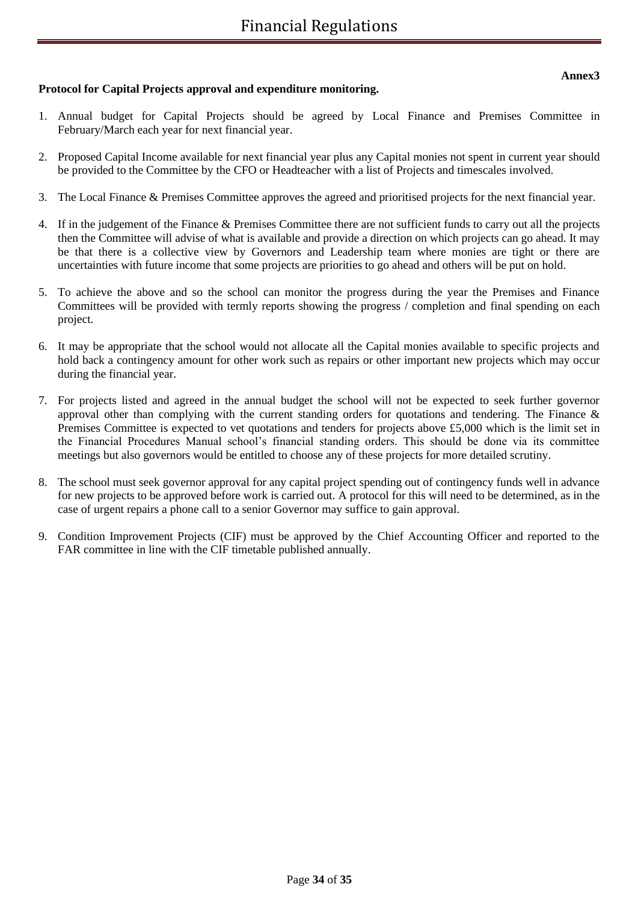## **Protocol for Capital Projects approval and expenditure monitoring.**

- 1. Annual budget for Capital Projects should be agreed by Local Finance and Premises Committee in February/March each year for next financial year.
- 2. Proposed Capital Income available for next financial year plus any Capital monies not spent in current year should be provided to the Committee by the CFO or Headteacher with a list of Projects and timescales involved.
- 3. The Local Finance & Premises Committee approves the agreed and prioritised projects for the next financial year.
- 4. If in the judgement of the Finance & Premises Committee there are not sufficient funds to carry out all the projects then the Committee will advise of what is available and provide a direction on which projects can go ahead. It may be that there is a collective view by Governors and Leadership team where monies are tight or there are uncertainties with future income that some projects are priorities to go ahead and others will be put on hold.
- 5. To achieve the above and so the school can monitor the progress during the year the Premises and Finance Committees will be provided with termly reports showing the progress / completion and final spending on each project.
- 6. It may be appropriate that the school would not allocate all the Capital monies available to specific projects and hold back a contingency amount for other work such as repairs or other important new projects which may occur during the financial year.
- 7. For projects listed and agreed in the annual budget the school will not be expected to seek further governor approval other than complying with the current standing orders for quotations and tendering. The Finance  $\&$ Premises Committee is expected to vet quotations and tenders for projects above £5,000 which is the limit set in the Financial Procedures Manual school's financial standing orders. This should be done via its committee meetings but also governors would be entitled to choose any of these projects for more detailed scrutiny.
- 8. The school must seek governor approval for any capital project spending out of contingency funds well in advance for new projects to be approved before work is carried out. A protocol for this will need to be determined, as in the case of urgent repairs a phone call to a senior Governor may suffice to gain approval.
- 9. Condition Improvement Projects (CIF) must be approved by the Chief Accounting Officer and reported to the FAR committee in line with the CIF timetable published annually.